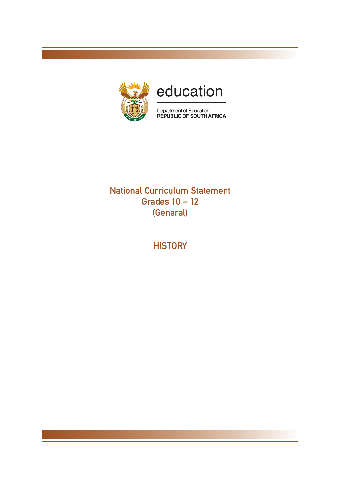

### National Curriculum Statement Grades 10 – 12 (General)

**HISTORY**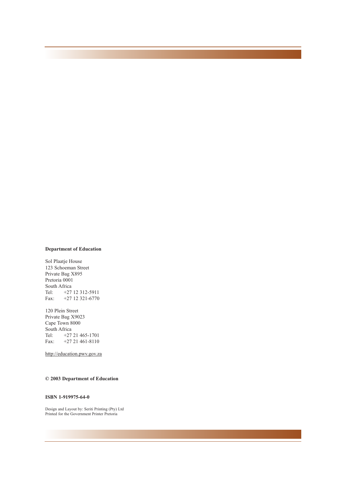#### **Department of Education**

Sol Plaatje House 123 Schoeman Street Private Bag X895 Pretoria 0001 South Africa<br>Tel:  $+27$ +27 12 312-5911 Fax: +27 12 321-6770

120 Plein Street Private Bag X9023 Cape Town 8000 South Africa<br>Tel:  $+27$ Tel: +27 21 465-1701<br>Fax: +27 21 461-8110 Fax: +27 21 461-8110

http://education.pwv.gov.za

#### **© 2003 Department of Education**

#### **ISBN 1-919975-64-0**

Design and Layout by: Seriti Printing (Pty) Ltd Printed for the Government Printer Pretoria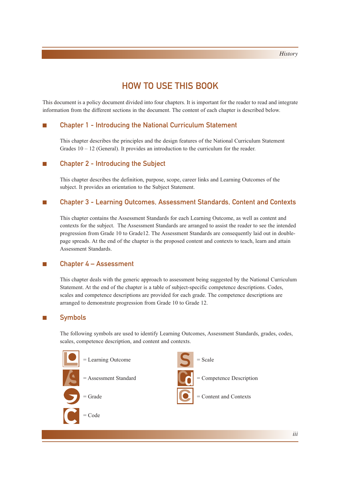### HOW TO USE THIS BOOK

This document is a policy document divided into four chapters. It is important for the reader to read and integrate information from the different sections in the document. The content of each chapter is described below.

#### ■ Chapter 1 - Introducing the National Curriculum Statement

This chapter describes the principles and the design features of the National Curriculum Statement Grades  $10 - 12$  (General). It provides an introduction to the curriculum for the reader.

#### ■ Chapter 2 - Introducing the Subject

This chapter describes the definition, purpose, scope, career links and Learning Outcomes of the subject. It provides an orientation to the Subject Statement.

#### ■ Chapter 3 - Learning Outcomes, Assessment Standards, Content and Contexts

This chapter contains the Assessment Standards for each Learning Outcome, as well as content and contexts for the subject. The Assessment Standards are arranged to assist the reader to see the intended progression from Grade 10 to Grade12. The Assessment Standards are consequently laid out in doublepage spreads. At the end of the chapter is the proposed content and contexts to teach, learn and attain Assessment Standards.

#### ■ Chapter 4 – Assessment

This chapter deals with the generic approach to assessment being suggested by the National Curriculum Statement. At the end of the chapter is a table of subject-specific competence descriptions. Codes, scales and competence descriptions are provided for each grade. The competence descriptions are arranged to demonstrate progression from Grade 10 to Grade 12.

#### ■ Symbols

The following symbols are used to identify Learning Outcomes, Assessment Standards, grades, codes, scales, competence description, and content and contexts.

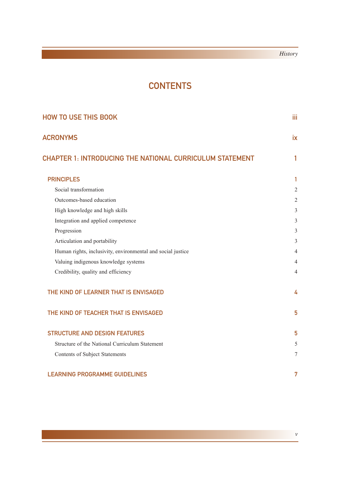### **CONTENTS**

| <b>HOW TO USE THIS BOOK</b>                                     |                |
|-----------------------------------------------------------------|----------------|
| <b>ACRONYMS</b>                                                 | <b>ix</b>      |
| <b>CHAPTER 1: INTRODUCING THE NATIONAL CURRICULUM STATEMENT</b> | 1              |
| <b>PRINCIPLES</b>                                               | $\mathbf{1}$   |
| Social transformation                                           | $\overline{2}$ |
| Outcomes-based education                                        | 2              |
| High knowledge and high skills                                  | $\mathfrak{Z}$ |
| Integration and applied competence                              | $\mathfrak{Z}$ |
| Progression                                                     | 3              |
| Articulation and portability                                    | $\mathfrak{Z}$ |
| Human rights, inclusivity, environmental and social justice     | 4              |
| Valuing indigenous knowledge systems                            | $\overline{4}$ |
| Credibility, quality and efficiency                             | 4              |
| THE KIND OF LEARNER THAT IS ENVISAGED                           | 4              |
| THE KIND OF TEACHER THAT IS ENVISAGED                           | 5              |
| <b>STRUCTURE AND DESIGN FEATURES</b>                            | 5              |
| Structure of the National Curriculum Statement                  | 5              |
| <b>Contents of Subject Statements</b>                           | $\tau$         |
| <b>LEARNING PROGRAMME GUIDELINES</b>                            | 7              |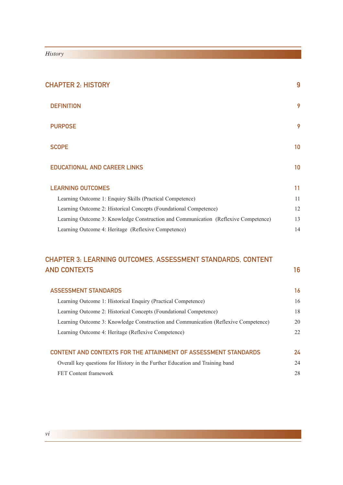| <b>CHAPTER 2: HISTORY</b> |                                                                                     | 9  |
|---------------------------|-------------------------------------------------------------------------------------|----|
|                           | <b>DEFINITION</b>                                                                   | 9  |
|                           | <b>PURPOSE</b>                                                                      | 9  |
|                           | <b>SCOPE</b>                                                                        | 10 |
|                           | <b>EDUCATIONAL AND CAREER LINKS</b>                                                 | 10 |
|                           | <b>LEARNING OUTCOMES</b>                                                            | 11 |
|                           | Learning Outcome 1: Enquiry Skills (Practical Competence)                           | 11 |
|                           | Learning Outcome 2: Historical Concepts (Foundational Competence)                   | 12 |
|                           | Learning Outcome 3: Knowledge Construction and Communication (Reflexive Competence) | 13 |
|                           | Learning Outcome 4: Heritage (Reflexive Competence)                                 | 14 |
|                           |                                                                                     |    |

### CHAPTER 3: LEARNING OUTCOMES, ASSESSMENT STANDARDS, CONTENT AND CONTEXTS 316

| <b>ASSESSMENT STANDARDS</b>                                                         | 16 |
|-------------------------------------------------------------------------------------|----|
| Learning Outcome 1: Historical Enquiry (Practical Competence)                       | 16 |
| Learning Outcome 2: Historical Concepts (Foundational Competence)                   | 18 |
| Learning Outcome 3: Knowledge Construction and Communication (Reflexive Competence) | 20 |
| Learning Outcome 4: Heritage (Reflexive Competence)                                 | 22 |
| <b>CONTENT AND CONTEXTS FOR THE ATTAINMENT OF ASSESSMENT STANDARDS</b>              | 24 |
| Overall key questions for History in the Further Education and Training band        | 24 |
| FET Content framework                                                               | 28 |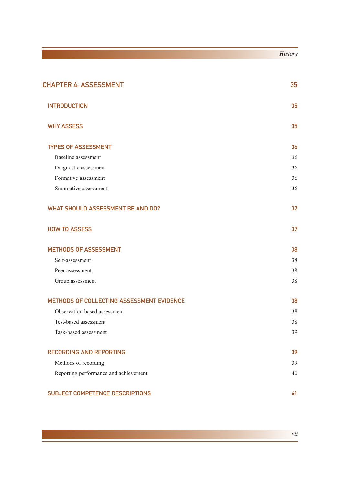|                                           | <b>History</b> |
|-------------------------------------------|----------------|
|                                           |                |
| <b>CHAPTER 4: ASSESSMENT</b>              | 35             |
| <b>INTRODUCTION</b>                       | 35             |
| <b>WHY ASSESS</b>                         | 35             |
| <b>TYPES OF ASSESSMENT</b>                | 36             |
| Baseline assessment                       | 36             |
| Diagnostic assessment                     | 36             |
| Formative assessment                      | 36             |
| Summative assessment                      | 36             |
| <b>WHAT SHOULD ASSESSMENT BE AND DO?</b>  | 37             |
| <b>HOW TO ASSESS</b>                      | 37             |
| <b>METHODS OF ASSESSMENT</b>              | 38             |
| Self-assessment                           | 38             |
| Peer assessment                           | 38             |
| Group assessment                          | 38             |
| METHODS OF COLLECTING ASSESSMENT EVIDENCE | 38             |
| Observation-based assessment              | 38             |
| Test-based assessment                     | 38             |
| Task-based assessment                     | 39             |
| <b>RECORDING AND REPORTING</b>            | 39             |
| Methods of recording                      | 39             |
| Reporting performance and achievement     | 40             |
| SUBJECT COMPETENCE DESCRIPTIONS           | 41             |

*vii*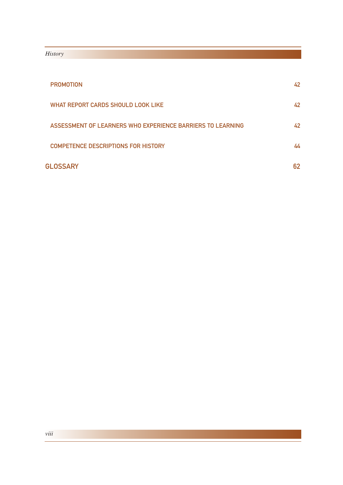| <b>PROMOTION</b>                                           | 42 |
|------------------------------------------------------------|----|
| WHAT REPORT CARDS SHOULD LOOK LIKE                         | 42 |
| ASSESSMENT OF LEARNERS WHO EXPERIENCE BARRIERS TO LEARNING | 42 |
| <b>COMPETENCE DESCRIPTIONS FOR HISTORY</b>                 | 44 |
| <b>GLOSSARY</b>                                            | 62 |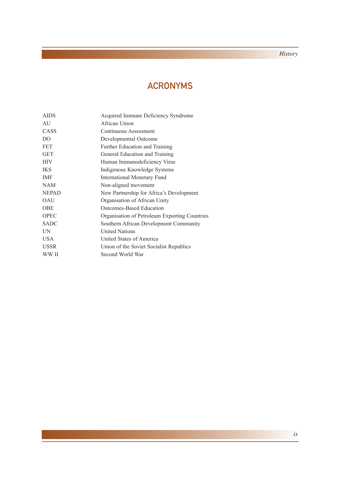### ACRONYMS

| <b>AIDS</b>    | Acquired Immune Deficiency Syndrome           |
|----------------|-----------------------------------------------|
| AU             | African Union                                 |
| CASS           | Continuous Assessment                         |
| D <sub>O</sub> | Developmental Outcome                         |
| <b>FET</b>     | Further Education and Training                |
| <b>GET</b>     | General Education and Training                |
| <b>HIV</b>     | Human Immunodeficiency Virus                  |
| <b>IKS</b>     | Indigenous Knowledge Systems                  |
| <b>IMF</b>     | <b>International Monetary Fund</b>            |
| <b>NAM</b>     | Non-aligned movement                          |
| <b>NEPAD</b>   | New Partnership for Africa's Development      |
| <b>OAU</b>     | Organisation of African Unity                 |
| <b>OBE</b>     | Outcomes-Based Education                      |
| <b>OPEC</b>    | Organisation of Petroleum Exporting Countries |
| <b>SADC</b>    | Southern African Development Community        |
| <b>IN</b>      | <b>United Nations</b>                         |
| <b>USA</b>     | United States of America                      |
| <b>USSR</b>    | Union of the Soviet Socialist Republics       |
| WW II          | Second World War                              |
|                |                                               |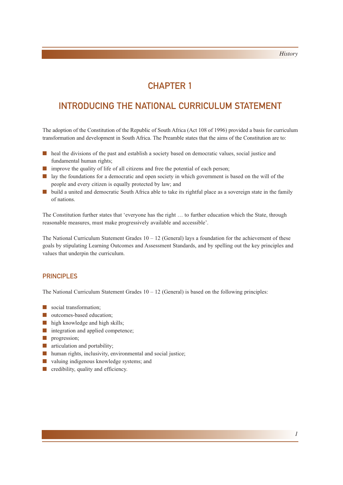### CHAPTER 1

### INTRODUCING THE NATIONAL CURRICULUM STATEMENT

The adoption of the Constitution of the Republic of South Africa (Act 108 of 1996) provided a basis for curriculum transformation and development in South Africa. The Preamble states that the aims of the Constitution are to:

- heal the divisions of the past and establish a society based on democratic values, social justice and fundamental human rights;
- improve the quality of life of all citizens and free the potential of each person;
- lay the foundations for a democratic and open society in which government is based on the will of the people and every citizen is equally protected by law; and
- build a united and democratic South Africa able to take its rightful place as a sovereign state in the family of nations.

The Constitution further states that 'everyone has the right … to further education which the State, through reasonable measures, must make progressively available and accessible'.

The National Curriculum Statement Grades  $10 - 12$  (General) lays a foundation for the achievement of these goals by stipulating Learning Outcomes and Assessment Standards, and by spelling out the key principles and values that underpin the curriculum.

#### **PRINCIPLES**

The National Curriculum Statement Grades  $10 - 12$  (General) is based on the following principles:

- social transformation:
- outcomes-based education;
- high knowledge and high skills;
- integration and applied competence;
- progression;
- articulation and portability:
- human rights, inclusivity, environmental and social justice;
- valuing indigenous knowledge systems; and
- credibility, quality and efficiency.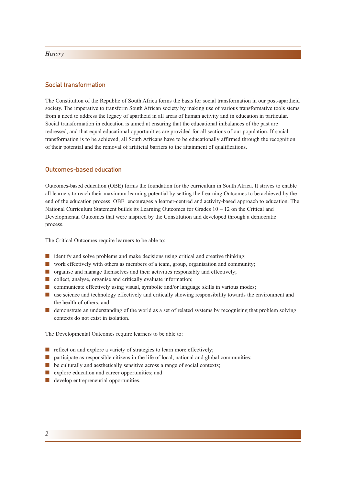#### Social transformation

The Constitution of the Republic of South Africa forms the basis for social transformation in our post-apartheid society. The imperative to transform South African society by making use of various transformative tools stems from a need to address the legacy of apartheid in all areas of human activity and in education in particular. Social transformation in education is aimed at ensuring that the educational imbalances of the past are redressed, and that equal educational opportunities are provided for all sections of our population. If social transformation is to be achieved, all South Africans have to be educationally affirmed through the recognition of their potential and the removal of artificial barriers to the attainment of qualifications.

#### Outcomes-based education

Outcomes-based education (OBE) forms the foundation for the curriculum in South Africa. It strives to enable all learners to reach their maximum learning potential by setting the Learning Outcomes to be achieved by the end of the education process. OBE encourages a learner-centred and activity-based approach to education. The National Curriculum Statement builds its Learning Outcomes for Grades  $10 - 12$  on the Critical and Developmental Outcomes that were inspired by the Constitution and developed through a democratic process.

The Critical Outcomes require learners to be able to:

- identify and solve problems and make decisions using critical and creative thinking;
- work effectively with others as members of a team, group, organisation and community;
- organise and manage themselves and their activities responsibly and effectively;
- collect, analyse, organise and critically evaluate information;
- communicate effectively using visual, symbolic and/or language skills in various modes;
- use science and technology effectively and critically showing responsibility towards the environment and the health of others; and
- demonstrate an understanding of the world as a set of related systems by recognising that problem solving contexts do not exist in isolation.

The Developmental Outcomes require learners to be able to:

- reflect on and explore a variety of strategies to learn more effectively;
- participate as responsible citizens in the life of local, national and global communities;
- $\blacksquare$  be culturally and aesthetically sensitive across a range of social contexts;
- explore education and career opportunities; and
- develop entrepreneurial opportunities.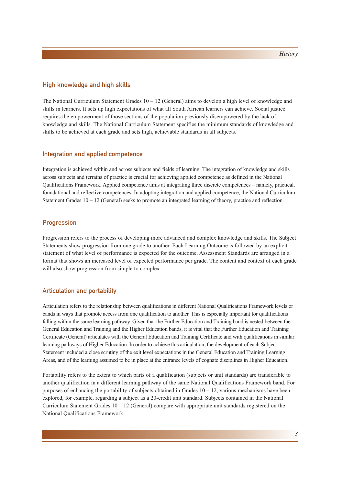#### High knowledge and high skills

The National Curriculum Statement Grades  $10 - 12$  (General) aims to develop a high level of knowledge and skills in learners. It sets up high expectations of what all South African learners can achieve. Social justice requires the empowerment of those sections of the population previously disempowered by the lack of knowledge and skills. The National Curriculum Statement specifies the minimum standards of knowledge and skills to be achieved at each grade and sets high, achievable standards in all subjects.

#### Integration and applied competence

Integration is achieved within and across subjects and fields of learning. The integration of knowledge and skills across subjects and terrains of practice is crucial for achieving applied competence as defined in the National Qualifications Framework. Applied competence aims at integrating three discrete competences – namely, practical, foundational and reflective competences. In adopting integration and applied competence, the National Curriculum Statement Grades  $10 - 12$  (General) seeks to promote an integrated learning of theory, practice and reflection.

#### **Progression**

Progression refers to the process of developing more advanced and complex knowledge and skills. The Subject Statements show progression from one grade to another. Each Learning Outcome is followed by an explicit statement of what level of performance is expected for the outcome. Assessment Standards are arranged in a format that shows an increased level of expected performance per grade. The content and context of each grade will also show progression from simple to complex.

#### Articulation and portability

Articulation refers to the relationship between qualifications in different National Qualifications Framework levels or bands in ways that promote access from one qualification to another. This is especially important for qualifications falling within the same learning pathway. Given that the Further Education and Training band is nested between the General Education and Training and the Higher Education bands, it is vital that the Further Education and Training Certificate (General) articulates with the General Education and Training Certificate and with qualifications in similar learning pathways of Higher Education. In order to achieve this articulation, the development of each Subject Statement included a close scrutiny of the exit level expectations in the General Education and Training Learning Areas, and of the learning assumed to be in place at the entrance levels of cognate disciplines in Higher Education.

Portability refers to the extent to which parts of a qualification (subjects or unit standards) are transferable to another qualification in a different learning pathway of the same National Qualifications Framework band. For purposes of enhancing the portability of subjects obtained in Grades  $10 - 12$ , various mechanisms have been explored, for example, regarding a subject as a 20-credit unit standard. Subjects contained in the National Curriculum Statement Grades  $10 - 12$  (General) compare with appropriate unit standards registered on the National Qualifications Framework.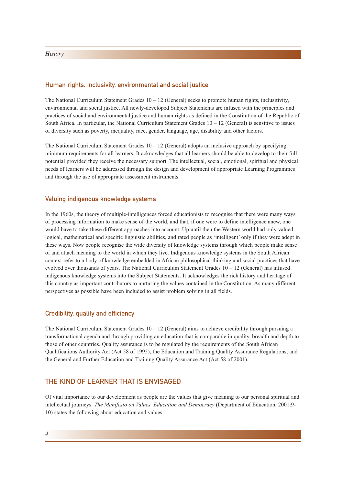#### Human rights, inclusivity, environmental and social justice

The National Curriculum Statement Grades  $10 - 12$  (General) seeks to promote human rights, inclusitivity, environmental and social justice. All newly-developed Subject Statements are infused with the principles and practices of social and environmental justice and human rights as defined in the Constitution of the Republic of South Africa. In particular, the National Curriculum Statement Grades  $10 - 12$  (General) is sensitive to issues of diversity such as poverty, inequality, race, gender, language, age, disability and other factors.

The National Curriculum Statement Grades  $10 - 12$  (General) adopts an inclusive approach by specifying minimum requirements for all learners. It acknowledges that all learners should be able to develop to their full potential provided they receive the necessary support. The intellectual, social, emotional, spiritual and physical needs of learners will be addressed through the design and development of appropriate Learning Programmes and through the use of appropriate assessment instruments.

#### Valuing indigenous knowledge systems

In the 1960s, the theory of multiple-intelligences forced educationists to recognise that there were many ways of processing information to make sense of the world, and that, if one were to define intelligence anew, one would have to take these different approaches into account. Up until then the Western world had only valued logical, mathematical and specific linguistic abilities, and rated people as 'intelligent' only if they were adept in these ways. Now people recognise the wide diversity of knowledge systems through which people make sense of and attach meaning to the world in which they live. Indigenous knowledge systems in the South African context refer to a body of knowledge embedded in African philosophical thinking and social practices that have evolved over thousands of years. The National Curriculum Statement Grades 10 – 12 (General) has infused indigenous knowledge systems into the Subject Statements. It acknowledges the rich history and heritage of this country as important contributors to nurturing the values contained in the Constitution. As many different perspectives as possible have been included to assist problem solving in all fields.

#### Credibility, quality and efficiency

The National Curriculum Statement Grades  $10 - 12$  (General) aims to achieve credibility through pursuing a transformational agenda and through providing an education that is comparable in quality, breadth and depth to those of other countries. Quality assurance is to be regulated by the requirements of the South African Qualifications Authority Act (Act 58 of 1995), the Education and Training Quality Assurance Regulations, and the General and Further Education and Training Quality Assurance Act (Act 58 of 2001).

#### THE KIND OF LEARNER THAT IS ENVISAGED

Of vital importance to our development as people are the values that give meaning to our personal spiritual and intellectual journeys. *The Manifesto on Values, Education and Democracy* (Department of Education, 2001:9- 10) states the following about education and values: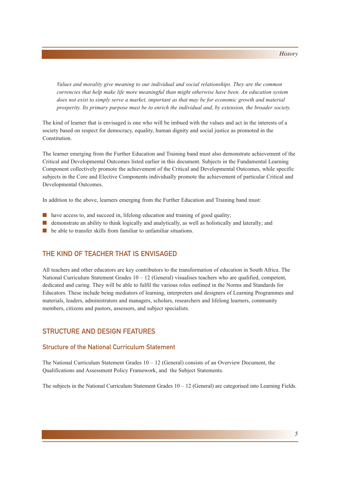*Values and morality give meaning to our individual and social relationships. They are the common currencies that help make life more meaningful than might otherwise have been. An education system does not exist to simply serve a market, important as that may be for economic growth and material prosperity. Its primary purpose must be to enrich the individual and, by extension, the broader society.*

The kind of learner that is envisaged is one who will be imbued with the values and act in the interests of a society based on respect for democracy, equality, human dignity and social justice as promoted in the Constitution.

The learner emerging from the Further Education and Training band must also demonstrate achievement of the Critical and Developmental Outcomes listed earlier in this document. Subjects in the Fundamental Learning Component collectively promote the achievement of the Critical and Developmental Outcomes, while specific subjects in the Core and Elective Components individually promote the achievement of particular Critical and Developmental Outcomes.

In addition to the above, learners emerging from the Further Education and Training band must:

- have access to, and succeed in, lifelong education and training of good quality;
- demonstrate an ability to think logically and analytically, as well as holistically and laterally; and
- be able to transfer skills from familiar to unfamiliar situations.

#### THE KIND OF TEACHER THAT IS ENVISAGED

All teachers and other educators are key contributors to the transformation of education in South Africa. The National Curriculum Statement Grades  $10 - 12$  (General) visualises teachers who are qualified, competent, dedicated and caring. They will be able to fulfil the various roles outlined in the Norms and Standards for Educators. These include being mediators of learning, interpreters and designers of Learning Programmes and materials, leaders, administrators and managers, scholars, researchers and lifelong learners, community members, citizens and pastors, assessors, and subject specialists.

#### STRUCTURE AND DESIGN FEATURES

#### Structure of the National Curriculum Statement

The National Curriculum Statement Grades  $10 - 12$  (General) consists of an Overview Document, the Qualifications and Assessment Policy Framework, and the Subject Statements.

The subjects in the National Curriculum Statement Grades  $10 - 12$  (General) are categorised into Learning Fields.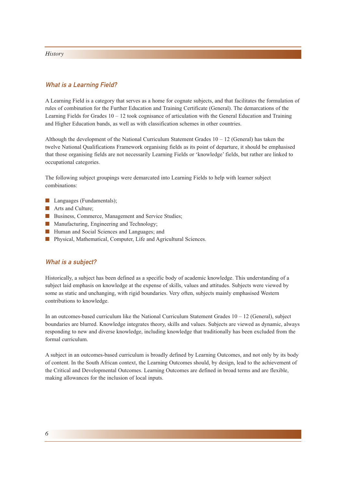#### What is a Learning Field?

A Learning Field is a category that serves as a home for cognate subjects, and that facilitates the formulation of rules of combination for the Further Education and Training Certificate (General). The demarcations of the Learning Fields for Grades  $10 - 12$  took cognisance of articulation with the General Education and Training and Higher Education bands, as well as with classification schemes in other countries.

Although the development of the National Curriculum Statement Grades  $10 - 12$  (General) has taken the twelve National Qualifications Framework organising fields as its point of departure, it should be emphasised that those organising fields are not necessarily Learning Fields or 'knowledge' fields, but rather are linked to occupational categories.

The following subject groupings were demarcated into Learning Fields to help with learner subject combinations:

- Languages (Fundamentals):
- Arts and Culture;
- Business, Commerce, Management and Service Studies;
- Manufacturing, Engineering and Technology;
- Human and Social Sciences and Languages; and
- Physical, Mathematical, Computer, Life and Agricultural Sciences.

#### What is a subject?

Historically, a subject has been defined as a specific body of academic knowledge. This understanding of a subject laid emphasis on knowledge at the expense of skills, values and attitudes. Subjects were viewed by some as static and unchanging, with rigid boundaries. Very often, subjects mainly emphasised Western contributions to knowledge.

In an outcomes-based curriculum like the National Curriculum Statement Grades  $10 - 12$  (General), subject boundaries are blurred. Knowledge integrates theory, skills and values. Subjects are viewed as dynamic, always responding to new and diverse knowledge, including knowledge that traditionally has been excluded from the formal curriculum.

A subject in an outcomes-based curriculum is broadly defined by Learning Outcomes, and not only by its body of content. In the South African context, the Learning Outcomes should, by design, lead to the achievement of the Critical and Developmental Outcomes. Learning Outcomes are defined in broad terms and are flexible, making allowances for the inclusion of local inputs.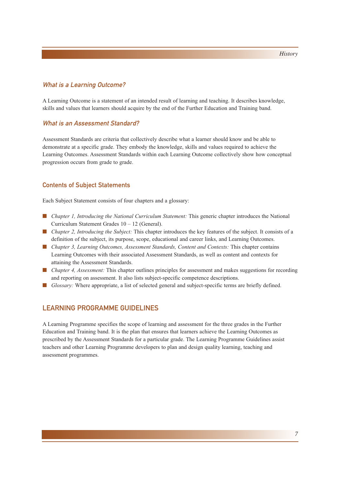#### What is a Learning Outcome?

A Learning Outcome is a statement of an intended result of learning and teaching. It describes knowledge, skills and values that learners should acquire by the end of the Further Education and Training band.

#### What is an Assessment Standard?

Assessment Standards are criteria that collectively describe what a learner should know and be able to demonstrate at a specific grade. They embody the knowledge, skills and values required to achieve the Learning Outcomes. Assessment Standards within each Learning Outcome collectively show how conceptual progression occurs from grade to grade.

#### Contents of Subject Statements

Each Subject Statement consists of four chapters and a glossary:

- *Chapter 1, Introducing the National Curriculum Statement:* This generic chapter introduces the National Curriculum Statement Grades 10 – 12 (General).
- *Chapter 2, Introducing the Subject:* This chapter introduces the key features of the subject. It consists of a definition of the subject, its purpose, scope, educational and career links, and Learning Outcomes.
- *Chapter 3, Learning Outcomes, Assessment Standards, Content and Contexts:* This chapter contains Learning Outcomes with their associated Assessment Standards, as well as content and contexts for attaining the Assessment Standards.
- *Chapter 4, Assessment:* This chapter outlines principles for assessment and makes suggestions for recording and reporting on assessment. It also lists subject-specific competence descriptions.
- *Glossary:* Where appropriate, a list of selected general and subject-specific terms are briefly defined.

#### LEARNING PROGRAMME GUIDELINES

A Learning Programme specifies the scope of learning and assessment for the three grades in the Further Education and Training band. It is the plan that ensures that learners achieve the Learning Outcomes as prescribed by the Assessment Standards for a particular grade. The Learning Programme Guidelines assist teachers and other Learning Programme developers to plan and design quality learning, teaching and assessment programmes.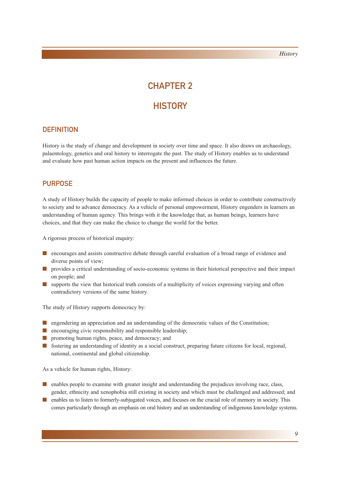# CHAPTER 2

### **HISTORY**

#### **DEFINITION**

History is the study of change and development in society over time and space. It also draws on archaeology, palaentology, genetics and oral history to interrogate the past. The study of History enables us to understand and evaluate how past human action impacts on the present and influences the future.

### PURPOSE

A study of History builds the capacity of people to make informed choices in order to contribute constructively to society and to advance democracy. As a vehicle of personal empowerment, History engenders in learners an understanding of human agency. This brings with it the knowledge that, as human beings, learners have choices, and that they can make the choice to change the world for the better.

A rigorous process of historical enquiry:

- encourages and assists constructive debate through careful evaluation of a broad range of evidence and diverse points of view;
- provides a critical understanding of socio-economic systems in their historical perspective and their impact on people; and
- supports the view that historical truth consists of a multiplicity of voices expressing varying and often contradictory versions of the same history.

The study of History supports democracy by:

- engendering an appreciation and an understanding of the democratic values of the Constitution;
- encouraging civic responsibility and responsible leadership;
- promoting human rights, peace, and democracy; and
- fostering an understanding of identity as a social construct, preparing future citizens for local, regional, national, continental and global citizenship.

As a vehicle for human rights, History:

- enables people to examine with greater insight and understanding the prejudices involving race, class, gender, ethnicity and xenophobia still existing in society and which must be challenged and addressed; and
- enables us to listen to formerly-subjugated voices, and focuses on the crucial role of memory in society. This comes particularly through an emphasis on oral history and an understanding of indigenous knowledge systems.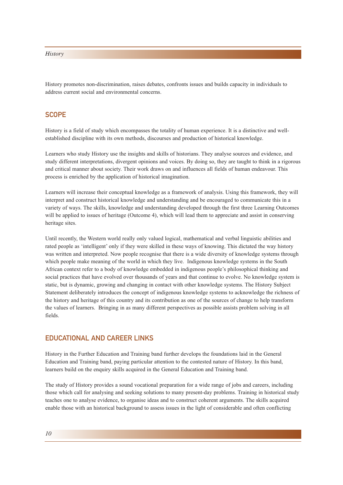History promotes non-discrimination, raises debates, confronts issues and builds capacity in individuals to address current social and environmental concerns.

#### **SCOPE**

History is a field of study which encompasses the totality of human experience. It is a distinctive and wellestablished discipline with its own methods, discourses and production of historical knowledge.

Learners who study History use the insights and skills of historians. They analyse sources and evidence, and study different interpretations, divergent opinions and voices. By doing so, they are taught to think in a rigorous and critical manner about society. Their work draws on and influences all fields of human endeavour. This process is enriched by the application of historical imagination.

Learners will increase their conceptual knowledge as a framework of analysis. Using this framework, they will interpret and construct historical knowledge and understanding and be encouraged to communicate this in a variety of ways. The skills, knowledge and understanding developed through the first three Learning Outcomes will be applied to issues of heritage (Outcome 4), which will lead them to appreciate and assist in conserving heritage sites.

Until recently, the Western world really only valued logical, mathematical and verbal linguistic abilities and rated people as 'intelligent' only if they were skilled in these ways of knowing. This dictated the way history was written and interpreted. Now people recognise that there is a wide diversity of knowledge systems through which people make meaning of the world in which they live. Indigenous knowledge systems in the South African context refer to a body of knowledge embedded in indigenous people's philosophical thinking and social practices that have evolved over thousands of years and that continue to evolve. No knowledge system is static, but is dynamic, growing and changing in contact with other knowledge systems. The History Subject Statement deliberately introduces the concept of indigenous knowledge systems to acknowledge the richness of the history and heritage of this country and its contribution as one of the sources of change to help transform the values of learners. Bringing in as many different perspectives as possible assists problem solving in all fields.

#### EDUCATIONAL AND CAREER LINKS

History in the Further Education and Training band further develops the foundations laid in the General Education and Training band, paying particular attention to the contested nature of History. In this band, learners build on the enquiry skills acquired in the General Education and Training band.

The study of History provides a sound vocational preparation for a wide range of jobs and careers, including those which call for analysing and seeking solutions to many present-day problems. Training in historical study teaches one to analyse evidence, to organise ideas and to construct coherent arguments. The skills acquired enable those with an historical background to assess issues in the light of considerable and often conflicting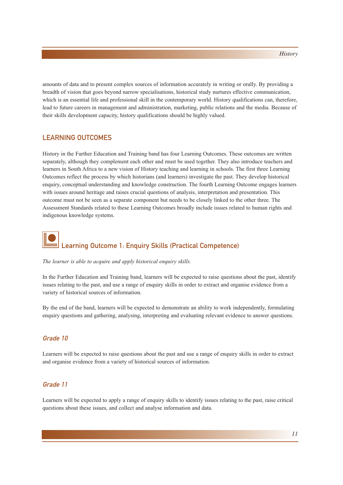amounts of data and to present complex sources of information accurately in writing or orally. By providing a breadth of vision that goes beyond narrow specialisations, historical study nurtures effective communication, which is an essential life and professional skill in the contemporary world. History qualifications can, therefore, lead to future careers in management and administration, marketing, public relations and the media. Because of their skills development capacity, history qualifications should be highly valued.

#### LEARNING OUTCOMES

History in the Further Education and Training band has four Learning Outcomes. These outcomes are written separately, although they complement each other and must be used together. They also introduce teachers and learners in South Africa to a new vision of History teaching and learning in schools. The first three Learning Outcomes reflect the process by which historians (and learners) investigate the past. They develop historical enquiry, conceptual understanding and knowledge construction. The fourth Learning Outcome engages learners with issues around heritage and raises crucial questions of analysis, interpretation and presentation. This outcome must not be seen as a separate component but needs to be closely linked to the other three. The Assessment Standards related to these Learning Outcomes broadly include issues related to human rights and indigenous knowledge systems.

# Learning Outcome 1: Enquiry Skills (Practical Competence)

#### *The learner is able to acquire and apply historical enquiry skills.*

In the Further Education and Training band, learners will be expected to raise questions about the past, identify issues relating to the past, and use a range of enquiry skills in order to extract and organise evidence from a variety of historical sources of information.

By the end of the band, learners will be expected to demonstrate an ability to work independently, formulating enquiry questions and gathering, analysing, interpreting and evaluating relevant evidence to answer questions.

#### Grade 10

Learners will be expected to raise questions about the past and use a range of enquiry skills in order to extract and organise evidence from a variety of historical sources of information.

#### Grade 11

Learners will be expected to apply a range of enquiry skills to identify issues relating to the past, raise critical questions about these issues, and collect and analyse information and data.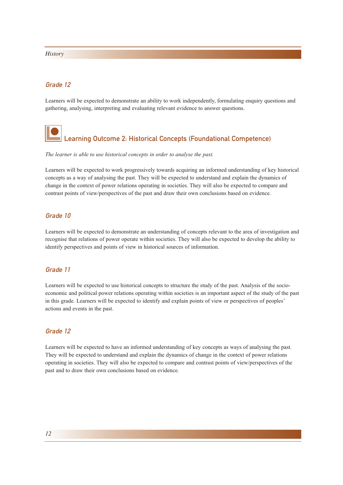#### Grade 12

Learners will be expected to demonstrate an ability to work independently, formulating enquiry questions and gathering, analysing, interpreting and evaluating relevant evidence to answer questions.

# Learning Outcome 2: Historical Concepts (Foundational Competence)

#### *The learner is able to use historical concepts in order to analyse the past.*

Learners will be expected to work progressively towards acquiring an informed understanding of key historical concepts as a way of analysing the past. They will be expected to understand and explain the dynamics of change in the context of power relations operating in societies. They will also be expected to compare and contrast points of view/perspectives of the past and draw their own conclusions based on evidence.

#### Grade 10

Learners will be expected to demonstrate an understanding of concepts relevant to the area of investigation and recognise that relations of power operate within societies. They will also be expected to develop the ability to identify perspectives and points of view in historical sources of information.

#### Grade 11

Learners will be expected to use historical concepts to structure the study of the past. Analysis of the socioeconomic and political power relations operating within societies is an important aspect of the study of the past in this grade. Learners will be expected to identify and explain points of view or perspectives of peoples' actions and events in the past.

#### Grade 12

Learners will be expected to have an informed understanding of key concepts as ways of analysing the past. They will be expected to understand and explain the dynamics of change in the context of power relations operating in societies. They will also be expected to compare and contrast points of view/perspectives of the past and to draw their own conclusions based on evidence.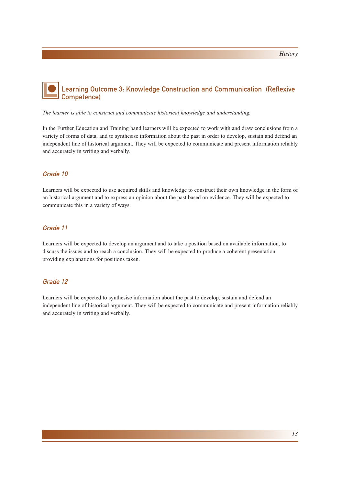### Learning Outcome 3: Knowledge Construction and Communication (Reflexive Competence)

*The learner is able to construct and communicate historical knowledge and understanding.*

In the Further Education and Training band learners will be expected to work with and draw conclusions from a variety of forms of data, and to synthesise information about the past in order to develop, sustain and defend an independent line of historical argument. They will be expected to communicate and present information reliably and accurately in writing and verbally.

#### Grade 10

Learners will be expected to use acquired skills and knowledge to construct their own knowledge in the form of an historical argument and to express an opinion about the past based on evidence. They will be expected to communicate this in a variety of ways.

#### Grade 11

Learners will be expected to develop an argument and to take a position based on available information, to discuss the issues and to reach a conclusion. They will be expected to produce a coherent presentation providing explanations for positions taken.

#### Grade 12

Learners will be expected to synthesise information about the past to develop, sustain and defend an independent line of historical argument. They will be expected to communicate and present information reliably and accurately in writing and verbally.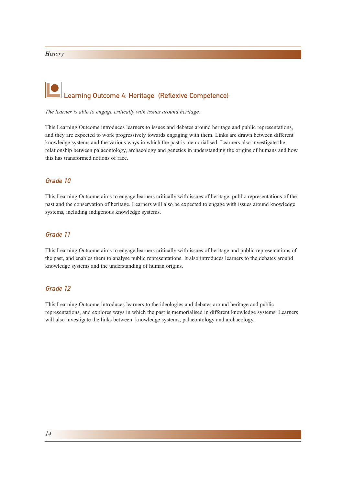# Learning Outcome 4: Heritage (Reflexive Competence)

*The learner is able to engage critically with issues around heritage.*

This Learning Outcome introduces learners to issues and debates around heritage and public representations, and they are expected to work progressively towards engaging with them. Links are drawn between different knowledge systems and the various ways in which the past is memorialised. Learners also investigate the relationship between palaeontology, archaeology and genetics in understanding the origins of humans and how this has transformed notions of race.

#### Grade 10

This Learning Outcome aims to engage learners critically with issues of heritage, public representations of the past and the conservation of heritage. Learners will also be expected to engage with issues around knowledge systems, including indigenous knowledge systems.

#### Grade 11

This Learning Outcome aims to engage learners critically with issues of heritage and public representations of the past, and enables them to analyse public representations. It also introduces learners to the debates around knowledge systems and the understanding of human origins.

#### Grade 12

This Learning Outcome introduces learners to the ideologies and debates around heritage and public representations, and explores ways in which the past is memorialised in different knowledge systems. Learners will also investigate the links between knowledge systems, palaeontology and archaeology.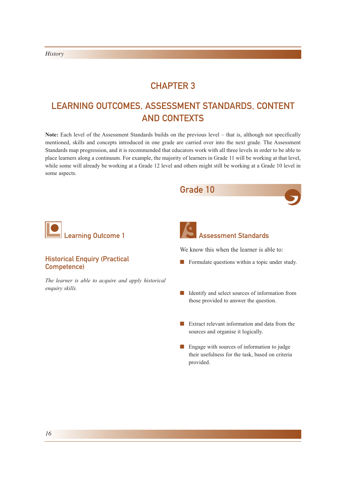### CHAPTER 3

## LEARNING OUTCOMES, ASSESSMENT STANDARDS, CONTENT AND CONTEXTS

**Note:** Each level of the Assessment Standards builds on the previous level – that is, although not specifically mentioned, skills and concepts introduced in one grade are carried over into the next grade. The Assessment Standards map progression, and it is recommended that educators work with all three levels in order to be able to place learners along a continuum. For example, the majority of learners in Grade 11 will be working at that level, while some will already be working at a Grade 12 level and others might still be working at a Grade 10 level in some aspects.



- sources and organise it logically.
- Engage with sources of information to judge their usefulness for the task, based on criteria provided.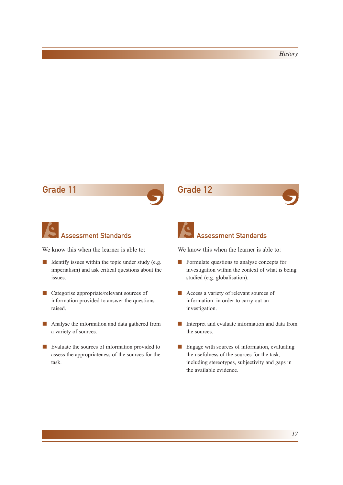### Grade 11 Grade 12





We know this when the learner is able to:

- Identify issues within the topic under study (e.g. imperialism) and ask critical questions about the issues.
- Categorise appropriate/relevant sources of information provided to answer the questions raised.
- Analyse the information and data gathered from a variety of sources.
- Evaluate the sources of information provided to assess the appropriateness of the sources for the task.



### Assessment Standards

- Formulate questions to analyse concepts for investigation within the context of what is being studied (e.g. globalisation).
- Access a variety of relevant sources of information in order to carry out an investigation.
- Interpret and evaluate information and data from the sources.
- Engage with sources of information, evaluating the usefulness of the sources for the task, including stereotypes, subjectivity and gaps in the available evidence.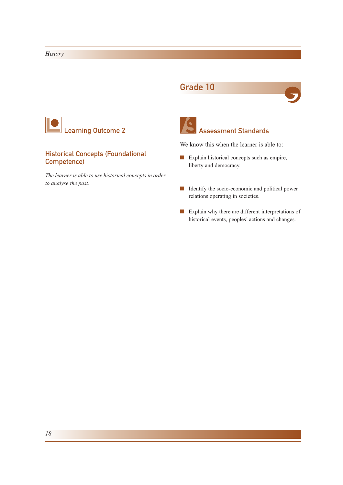### Grade 10





#### Historical Concepts (Foundational Competence)

*The learner is able to use historical concepts in order to analyse the past.*



### Assessment Standards

- Explain historical concepts such as empire, liberty and democracy.
- Identify the socio-economic and political power relations operating in societies.
- Explain why there are different interpretations of historical events, peoples' actions and changes.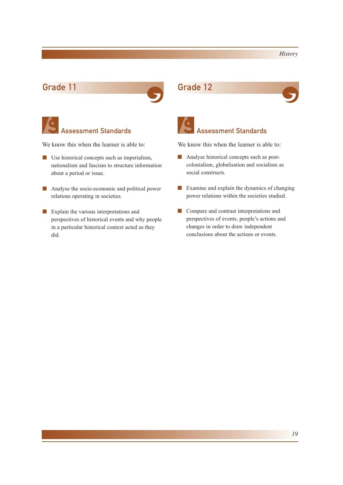### Grade 11 Grade 12



## Assessment Standards

We know this when the learner is able to:

- Use historical concepts such as imperialism, nationalism and fascism to structure information about a period or issue.
- Analyse the socio-economic and political power relations operating in societies.
- Explain the various interpretations and perspectives of historical events and why people in a particular historical context acted as they did.





### Assessment Standards

- Analyse historical concepts such as postcolonialism, globalisation and socialism as social constructs.
- Examine and explain the dynamics of changing power relations within the societies studied.
- Compare and contrast interpretations and perspectives of events, people's actions and changes in order to draw independent conclusions about the actions or events.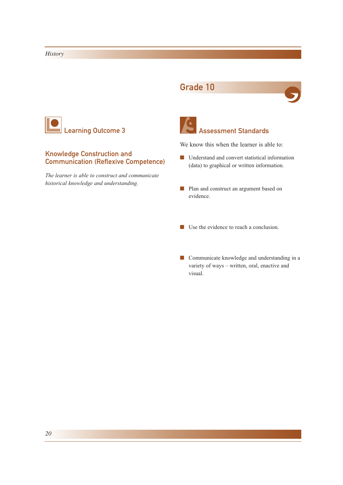### Grade 10





#### Knowledge Construction and Communication (Reflexive Competence)

*The learner is able to construct and communicate historical knowledge and understanding.*



### Assessment Standards

- Understand and convert statistical information (data) to graphical or written information.
- Plan and construct an argument based on evidence.
- Use the evidence to reach a conclusion.
- Communicate knowledge and understanding in a variety of ways – written, oral, enactive and visual.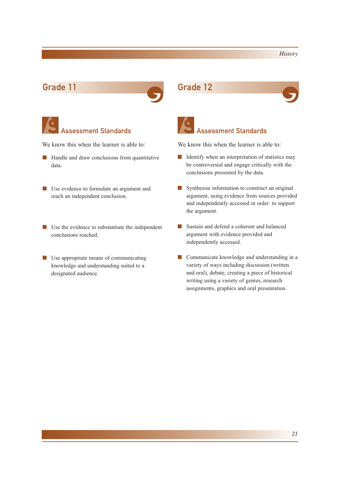### Grade 11 Grade 12



## Assessment Standards

We know this when the learner is able to:

- Handle and draw conclusions from quantitative data.
- Use evidence to formulate an argument and reach an independent conclusion.
- Use the evidence to substantiate the independent conclusions reached.
- Use appropriate means of communicating knowledge and understanding suited to a designated audience.





### Assessment Standards

- Identify when an interpretation of statistics may be controversial and engage critically with the conclusions presented by the data.
- Synthesise information to construct an original argument, using evidence from sources provided and independently accessed in order to support the argument.
- Sustain and defend a coherent and balanced argument with evidence provided and independently accessed.
- Communicate knowledge and understanding in a variety of ways including discussion (written and oral), debate, creating a piece of historical writing using a variety of genres, research assignments, graphics and oral presentation.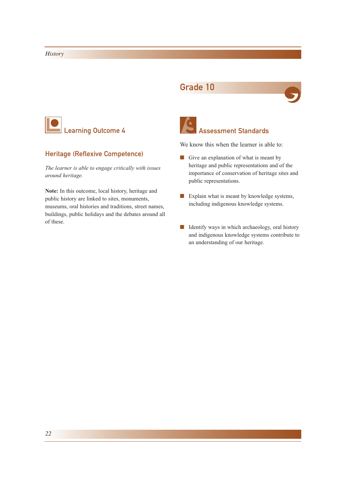### Grade 10





#### Heritage (Reflexive Competence)

*The learner is able to engage critically with issues around heritage.*

**Note:** In this outcome, local history, heritage and public history are linked to sites, monuments, museums, oral histories and traditions, street names, buildings, public holidays and the debates around all of these.



### Assessment Standards

- Give an explanation of what is meant by heritage and public representations and of the importance of conservation of heritage sites and public representations.
- Explain what is meant by knowledge systems, including indigenous knowledge systems.
- Identify ways in which archaeology, oral history and indigenous knowledge systems contribute to an understanding of our heritage.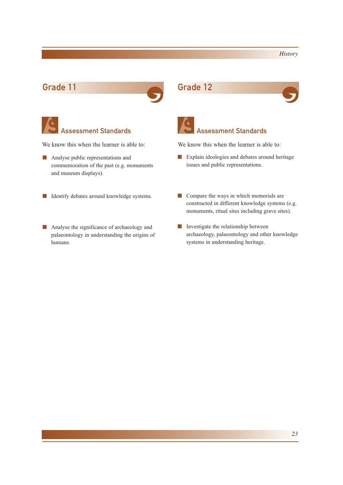### Grade 11 Grade 12



## Assessment Standards

We know this when the learner is able to:

- Analyse public representations and commemoration of the past (e.g. monuments and museum displays).
- Identify debates around knowledge systems.
- Analyse the significance of archaeology and palaeontology in understanding the origins of humans.





### Assessment Standards

- Explain ideologies and debates around heritage issues and public representations.
- Compare the ways in which memorials are constructed in different knowledge systems (e.g. monuments, ritual sites including grave sites).
- Investigate the relationship between archaeology, palaeontology and other knowledge systems in understanding heritage.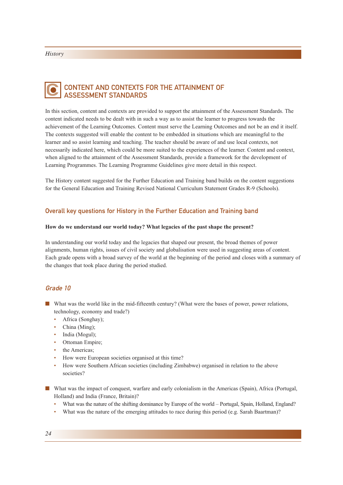#### CONTENT AND CONTEXTS FOR THE ATTAINMENT OF ASSESSMENT STANDARDS C

In this section, content and contexts are provided to support the attainment of the Assessment Standards. The content indicated needs to be dealt with in such a way as to assist the learner to progress towards the achievement of the Learning Outcomes. Content must serve the Learning Outcomes and not be an end it itself. The contexts suggested will enable the content to be embedded in situations which are meaningful to the learner and so assist learning and teaching. The teacher should be aware of and use local contexts, not necessarily indicated here, which could be more suited to the experiences of the learner. Content and context, when aligned to the attainment of the Assessment Standards, provide a framework for the development of Learning Programmes. The Learning Programme Guidelines give more detail in this respect.

The History content suggested for the Further Education and Training band builds on the content suggestions for the General Education and Training Revised National Curriculum Statement Grades R-9 (Schools).

#### Overall key questions for History in the Further Education and Training band

#### **How do we understand our world today? What legacies of the past shape the present?**

In understanding our world today and the legacies that shaped our present, the broad themes of power alignments, human rights, issues of civil society and globalisation were used in suggesting areas of content. Each grade opens with a broad survey of the world at the beginning of the period and closes with a summary of the changes that took place during the period studied.

#### Grade 10

- What was the world like in the mid-fifteenth century? (What were the bases of power, power relations, technology, economy and trade?)
	- Africa (Songhay);
	- China (Ming);
	- India (Mogul);
	- Ottoman Empire;
	- the Americas;
	- How were European societies organised at this time?
	- How were Southern African societies (including Zimbabwe) organised in relation to the above societies?
- What was the impact of conquest, warfare and early colonialism in the Americas (Spain), Africa (Portugal, Holland) and India (France, Britain)?
	- What was the nature of the shifting dominance by Europe of the world Portugal, Spain, Holland, England?
	- What was the nature of the emerging attitudes to race during this period (e.g. Sarah Baartman)?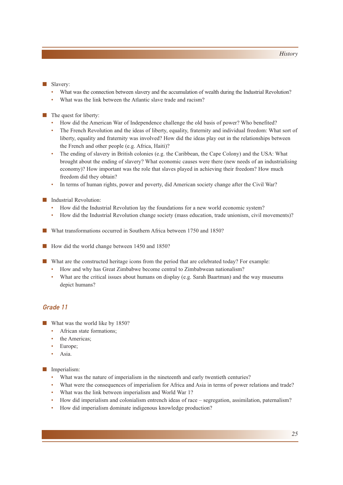#### ■ Slavery:

- What was the connection between slavery and the accumulation of wealth during the Industrial Revolution?
- What was the link between the Atlantic slave trade and racism?

#### ■ The quest for liberty:

- How did the American War of Independence challenge the old basis of power? Who benefited?
- The French Revolution and the ideas of liberty, equality, fraternity and individual freedom: What sort of liberty, equality and fraternity was involved? How did the ideas play out in the relationships between the French and other people (e.g. Africa, Haiti)?
- The ending of slavery in British colonies (e.g. the Caribbean, the Cape Colony) and the USA: What brought about the ending of slavery? What economic causes were there (new needs of an industrialising economy)? How important was the role that slaves played in achieving their freedom? How much freedom did they obtain?
- In terms of human rights, power and poverty, did American society change after the Civil War?

#### ■ Industrial Revolution:

- How did the Industrial Revolution lay the foundations for a new world economic system?
- How did the Industrial Revolution change society (mass education, trade unionism, civil movements)?
- What transformations occurred in Southern Africa between 1750 and 1850?
- How did the world change between 1450 and 1850?
- What are the constructed heritage icons from the period that are celebrated today? For example:
	- How and why has Great Zimbabwe become central to Zimbabwean nationalism?
	- What are the critical issues about humans on display (e.g. Sarah Baartman) and the way museums depict humans?

#### Grade 11

- What was the world like by 1850?
	- African state formations;
	- the Americas:
	- Europe:
	- Asia.

#### ■ Imperialism:

- What was the nature of imperialism in the nineteenth and early twentieth centuries?
- What were the consequences of imperialism for Africa and Asia in terms of power relations and trade?
- What was the link between imperialism and World War 1?
- How did imperialism and colonialism entrench ideas of race segregation, assimilation, paternalism?
- How did imperialism dominate indigenous knowledge production?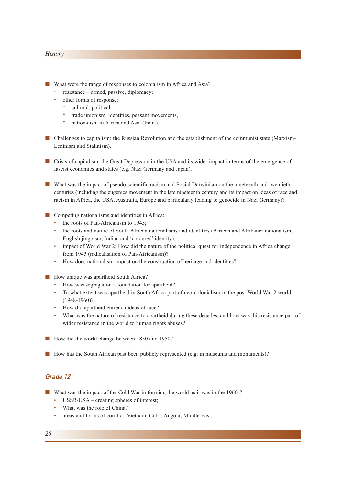- What were the range of responses to colonialism in Africa and Asia?
	- resistance armed, passive, diplomacy;
		- other forms of response:
			- \* cultural, political,
			- trade unionism, identities, peasant movements,
			- nationalism in Africa and Asia (India).
- Challenges to capitalism: the Russian Revolution and the establishment of the communist state (Marxism-Leninism and Stalinism).
- Crisis of capitalism: the Great Depression in the USA and its wider impact in terms of the emergence of fascist economies and states (e.g. Nazi Germany and Japan).
- What was the impact of pseudo-scientific racism and Social Darwinism on the nineteenth and twentieth centuries (including the eugenics movement in the late nineteenth century and its impact on ideas of race and racism in Africa, the USA, Australia, Europe and particularly leading to genocide in Nazi Germany)?
- Competing nationalisms and identities in Africa:
	- the roots of Pan-Africanism to 1945;
	- the roots and nature of South African nationalisms and identities (African and Afrikaner nationalism, English jingoism, Indian and 'coloured' identity);
	- impact of World War 2: How did the nature of the political quest for independence in Africa change from 1945 (radicalisation of Pan-Africanism)?
	- How does nationalism impact on the construction of heritage and identities?
- How unique was apartheid South Africa?
	- How was segregation a foundation for apartheid?
	- To what extent was apartheid in South Africa part of neo-colonialism in the post World War 2 world (1948-1960)?
	- How did apartheid entrench ideas of race?
	- What was the nature of resistance to apartheid during these decades, and how was this resistance part of wider resistance in the world to human rights abuses?
- How did the world change between 1850 and 1950?
- How has the South African past been publicly represented (e.g. in museums and monuments)?

#### Grade 12

- What was the impact of the Cold War in forming the world as it was in the 1960s?
	- USSR/USA creating spheres of interest;
	- What was the role of China?
	- areas and forms of conflict: Vietnam, Cuba, Angola, Middle East;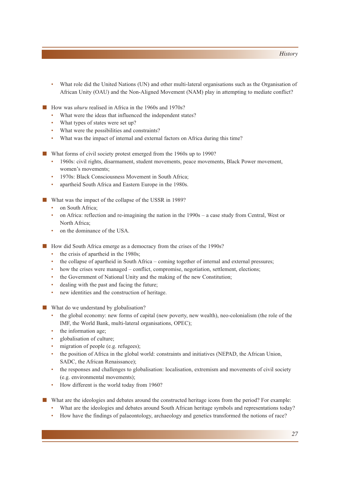- What role did the United Nations (UN) and other multi-lateral organisations such as the Organisation of African Unity (OAU) and the Non-Aligned Movement (NAM) play in attempting to mediate conflict?
- How was *uhuru* realised in Africa in the 1960s and 1970s?
	- What were the ideas that influenced the independent states?
	- What types of states were set up?
	- What were the possibilities and constraints?
	- What was the impact of internal and external factors on Africa during this time?
- What forms of civil society protest emerged from the 1960s up to 1990?
	- 1960s: civil rights, disarmament, student movements, peace movements, Black Power movement, women's movements;
	- 1970s: Black Consciousness Movement in South Africa;
	- apartheid South Africa and Eastern Europe in the 1980s.
- What was the impact of the collapse of the USSR in 1989?
	- on South Africa;
	- on Africa: reflection and re-imagining the nation in the 1990s a case study from Central, West or North Africa;
	- on the dominance of the USA.
- How did South Africa emerge as a democracy from the crises of the 1990s?
	- the crisis of apartheid in the 1980s;
	- the collapse of apartheid in South Africa coming together of internal and external pressures;
	- how the crises were managed conflict, compromise, negotiation, settlement, elections;
	- the Government of National Unity and the making of the new Constitution;
	- dealing with the past and facing the future;
	- new identities and the construction of heritage.
- What do we understand by globalisation?
	- the global economy: new forms of capital (new poverty, new wealth), neo-colonialism (the role of the IMF, the World Bank, multi-lateral organisations, OPEC);
	- the information age;
	- globalisation of culture:
	- migration of people (e.g. refugees);
	- the position of Africa in the global world: constraints and initiatives (NEPAD, the African Union, SADC, the African Renaissance);
	- the responses and challenges to globalisation: localisation, extremism and movements of civil society (e.g. environmental movements);
	- How different is the world today from 1960?
- What are the ideologies and debates around the constructed heritage icons from the period? For example:
	- What are the ideologies and debates around South African heritage symbols and representations today?
	- How have the findings of palaeontology, archaeology and genetics transformed the notions of race?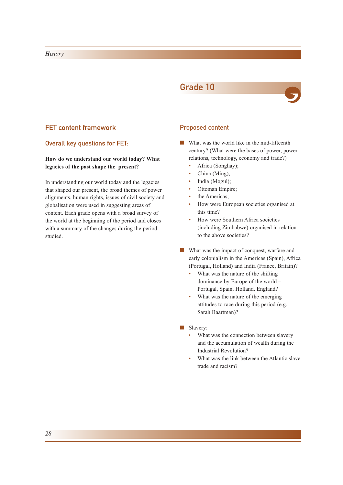## Grade 10



## FET content framework

## Overall key questions for FET:

## **How do we understand our world today? What legacies of the past shape the present?**

In understanding our world today and the legacies that shaped our present, the broad themes of power alignments, human rights, issues of civil society and globalisation were used in suggesting areas of content. Each grade opens with a broad survey of the world at the beginning of the period and closes with a summary of the changes during the period studied.

## Proposed content

- What was the world like in the mid-fifteenth century? (What were the bases of power, power relations, technology, economy and trade?)
	- Africa (Songhay);
	- China (Ming);
	- India (Mogul);
	- Ottoman Empire;
	- the Americas;
	- How were European societies organised at this time?
	- How were Southern Africa societies (including Zimbabwe) organised in relation to the above societies?
- What was the impact of conquest, warfare and early colonialism in the Americas (Spain), Africa (Portugal, Holland) and India (France, Britain)?
	- What was the nature of the shifting dominance by Europe of the world – Portugal, Spain, Holland, England?
	- What was the nature of the emerging attitudes to race during this period (e.g. Sarah Baartman)?
- Slavery:
	- What was the connection between slavery and the accumulation of wealth during the Industrial Revolution?
	- What was the link between the Atlantic slave trade and racism?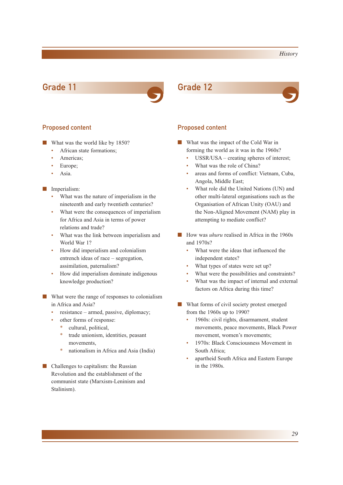## Grade 11 Grade 12



- What was the world like by 1850?
	- African state formations:
	- Americas;
	- Europe;
	- Asia.

### ■ Imperialism:

- What was the nature of imperialism in the nineteenth and early twentieth centuries?
- What were the consequences of imperialism for Africa and Asia in terms of power relations and trade?
- What was the link between imperialism and World War 1?
- How did imperialism and colonialism entrench ideas of race – segregation, assimilation, paternalism?
- How did imperialism dominate indigenous knowledge production?
- What were the range of responses to colonialism in Africa and Asia?
	- resistance armed, passive, diplomacy;
	- other forms of response:
		- cultural, political,
		- \* trade unionism, identities, peasant movements,
		- \* nationalism in Africa and Asia (India)
- Challenges to capitalism: the Russian Revolution and the establishment of the communist state (Marxism-Leninism and Stalinism).



### Proposed content **Proposed content**

- What was the impact of the Cold War in forming the world as it was in the 1960s?
	- USSR/USA creating spheres of interest;
	- What was the role of China?
	- areas and forms of conflict: Vietnam, Cuba, Angola, Middle East;
	- What role did the United Nations (UN) and other multi-lateral organisations such as the Organisation of African Unity (OAU) and the Non-Aligned Movement (NAM) play in attempting to mediate conflict?
- How was *uhuru* realised in Africa in the 1960s and 1970s?
	- What were the ideas that influenced the independent states?
	- What types of states were set up?
	- What were the possibilities and constraints?
	- What was the impact of internal and external factors on Africa during this time?
- What forms of civil society protest emerged from the 1960s up to 1990?
	- 1960s: civil rights, disarmament, student movements, peace movements, Black Power movement, women's movements;
	- 1970s: Black Consciousness Movement in South Africa;
	- apartheid South Africa and Eastern Europe in the 1980s.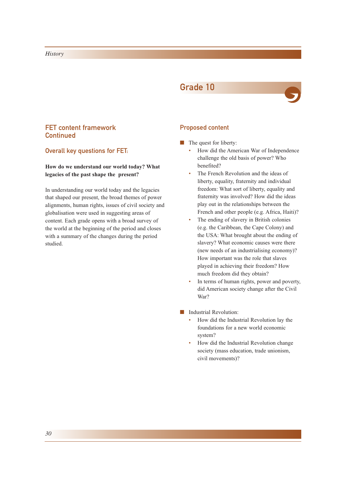## Grade 10



## FET content framework **Continued**

Overall key questions for FET:

## **How do we understand our world today? What legacies of the past shape the present?**

In understanding our world today and the legacies that shaped our present, the broad themes of power alignments, human rights, issues of civil society and globalisation were used in suggesting areas of content. Each grade opens with a broad survey of the world at the beginning of the period and closes with a summary of the changes during the period studied.

## Proposed content

- The quest for liberty:
	- How did the American War of Independence challenge the old basis of power? Who benefited?
	- The French Revolution and the ideas of liberty, equality, fraternity and individual freedom: What sort of liberty, equality and fraternity was involved? How did the ideas play out in the relationships between the French and other people (e.g. Africa, Haiti)?
	- The ending of slavery in British colonies (e.g. the Caribbean, the Cape Colony) and the USA: What brought about the ending of slavery? What economic causes were there (new needs of an industrialising economy)? How important was the role that slaves played in achieving their freedom? How much freedom did they obtain?
	- In terms of human rights, power and poverty, did American society change after the Civil War?
- Industrial Revolution:
	- How did the Industrial Revolution lay the foundations for a new world economic system?
	- How did the Industrial Revolution change society (mass education, trade unionism, civil movements)?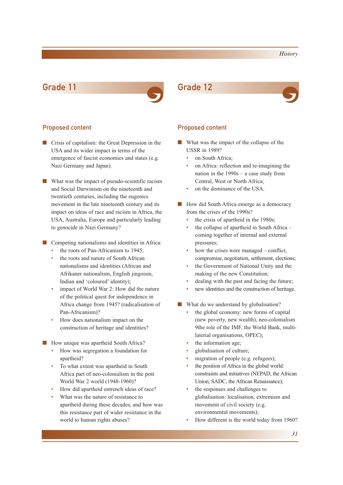## Grade 11 Grade 12



### Proposed content **Proposed content**

- Crisis of capitalism: the Great Depression in the USA and its wider impact in terms of the emergence of fascist economies and states (e.g. Nazi Germany and Japan).
- What was the impact of pseudo-scientific racism and Social Darwinism on the nineteenth and twentieth centuries, including the eugenics movement in the late nineteenth century and its impact on ideas of race and racism in Africa, the USA, Australia, Europe and particularly leading to genocide in Nazi Germany?
- Competing nationalisms and identities in Africa:
	- the roots of Pan-Africanism to 1945;
	- the roots and nature of South African nationalisms and identities (African and Afrikaner nationalism, English jingoism, Indian and 'coloured' identity);
	- impact of World War 2: How did the nature of the political quest for independence in Africa change from 1945? (radicalisation of Pan-Africanism)?
	- How does nationalism impact on the construction of heritage and identities?
- How unique was apartheid South Africa?
	- How was segregation a foundation for apartheid?
	- To what extent was apartheid in South Africa part of neo-colonialism in the post World War 2 world (1948-1960)?
	- How did apartheid entrench ideas of race?
	- What was the nature of resistance to apartheid during these decades, and how was this resistance part of wider resistance in the world to human rights abuses?



- What was the impact of the collapse of the USSR in 1989?
	- on South Africa:
	- on Africa: reflection and re-imagining the nation in the 1990s – a case study from Central, West or North Africa;
	- on the dominance of the USA.
- How did South Africa emerge as a democracy from the crises of the 1990s?
	- the crisis of apartheid in the 1980s;
	- the collapse of apartheid in South Africa  $$ coming together of internal and external pressures;
	- how the crises were managed  $-$  conflict, compromise, negotiation, settlement, elections;
	- the Government of National Unity and the making of the new Constitution;
	- dealing with the past and facing the future;
	- new identities and the construction of heritage.
- What do we understand by globalisation?
	- the global economy: new forms of capital (new poverty, new wealth), neo-colonialism 9the role of the IMF, the World Bank, multilaterial organisations, OPEC);
	- the information age;
	- globalisation of culture;
	- migration of people (e.g. refugees);
	- the position of Africa in the global world: constraints and initiatives (NEPAD, the African Union, SADC, the African Renaissance);
	- the responses and challenges to globalisation: localisation, extremism and movement of civil society (e.g. environmental movements);
	- How different is the world today from 1960?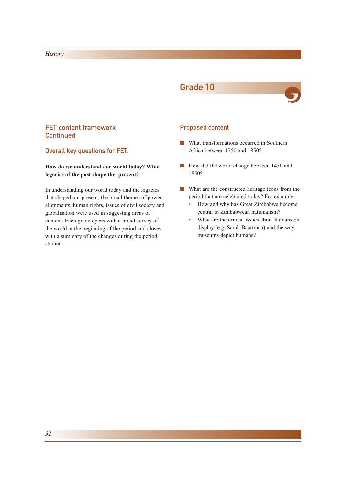## Grade 10



## FET content framework **Continued**

Overall key questions for FET:

## **How do we understand our world today? What legacies of the past shape the present?**

In understanding our world today and the legacies that shaped our present, the broad themes of power alignments, human rights, issues of civil society and globalisation were used in suggesting areas of content. Each grade opens with a broad survey of the world at the beginning of the period and closes with a summary of the changes during the period studied.

## Proposed content

- What transformations occurred in Southern Africa between 1750 and 1850?
- How did the world change between 1450 and 1850?
- What are the constructed heritage icons from the period that are celebrated today? For example:
	- How and why has Great Zimbabwe become central to Zimbabwean nationalism?
	- What are the critical issues about humans on display (e.g. Sarah Baartman) and the way museums depict humans?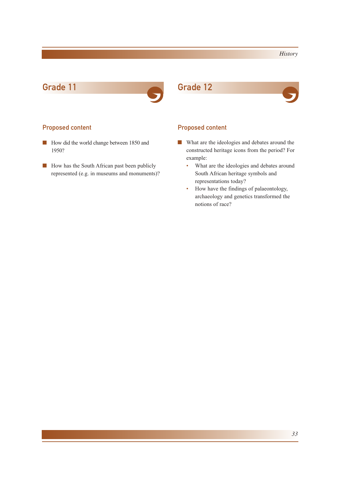## Grade 11 Grade 12



## Proposed content **Proposed content**

- How did the world change between 1850 and 1950?
- How has the South African past been publicly represented (e.g. in museums and monuments)?



- What are the ideologies and debates around the constructed heritage icons from the period? For example:
	- What are the ideologies and debates around South African heritage symbols and representations today?
	- How have the findings of palaeontology, archaeology and genetics transformed the notions of race?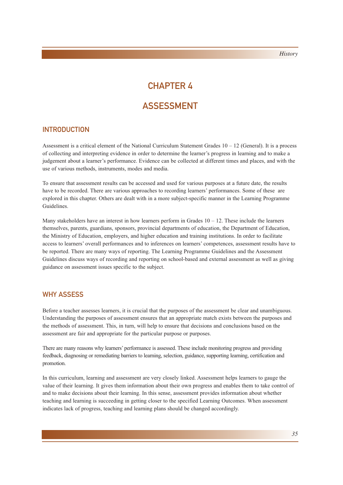## CHAPTER 4

## ASSESSMENT

## INTRODUCTION

Assessment is a critical element of the National Curriculum Statement Grades  $10 - 12$  (General). It is a process of collecting and interpreting evidence in order to determine the learner's progress in learning and to make a judgement about a learner's performance. Evidence can be collected at different times and places, and with the use of various methods, instruments, modes and media.

To ensure that assessment results can be accessed and used for various purposes at a future date, the results have to be recorded. There are various approaches to recording learners' performances. Some of these are explored in this chapter. Others are dealt with in a more subject-specific manner in the Learning Programme Guidelines.

Many stakeholders have an interest in how learners perform in Grades  $10 - 12$ . These include the learners themselves, parents, guardians, sponsors, provincial departments of education, the Department of Education, the Ministry of Education, employers, and higher education and training institutions. In order to facilitate access to learners' overall performances and to inferences on learners' competences, assessment results have to be reported. There are many ways of reporting. The Learning Programme Guidelines and the Assessment Guidelines discuss ways of recording and reporting on school-based and external assessment as well as giving guidance on assessment issues specific to the subject.

## WHY ASSESS

Before a teacher assesses learners, it is crucial that the purposes of the assessment be clear and unambiguous. Understanding the purposes of assessment ensures that an appropriate match exists between the purposes and the methods of assessment. This, in turn, will help to ensure that decisions and conclusions based on the assessment are fair and appropriate for the particular purpose or purposes.

There are many reasons why learners' performance is assessed. These include monitoring progress and providing feedback, diagnosing or remediating barriers to learning, selection, guidance, supporting learning, certification and promotion.

In this curriculum, learning and assessment are very closely linked. Assessment helps learners to gauge the value of their learning. It gives them information about their own progress and enables them to take control of and to make decisions about their learning. In this sense, assessment provides information about whether teaching and learning is succeeding in getting closer to the specified Learning Outcomes. When assessment indicates lack of progress, teaching and learning plans should be changed accordingly.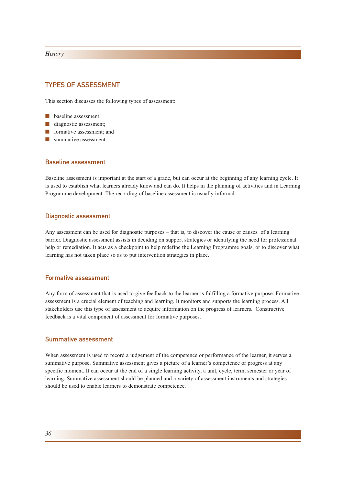## TYPES OF ASSESSMENT

This section discusses the following types of assessment:

- baseline assessment;
- diagnostic assessment;
- formative assessment; and
- summative assessment.

## Baseline assessment

Baseline assessment is important at the start of a grade, but can occur at the beginning of any learning cycle. It is used to establish what learners already know and can do. It helps in the planning of activities and in Learning Programme development. The recording of baseline assessment is usually informal.

### Diagnostic assessment

Any assessment can be used for diagnostic purposes – that is, to discover the cause or causes of a learning barrier. Diagnostic assessment assists in deciding on support strategies or identifying the need for professional help or remediation. It acts as a checkpoint to help redefine the Learning Programme goals, or to discover what learning has not taken place so as to put intervention strategies in place.

## Formative assessment

Any form of assessment that is used to give feedback to the learner is fulfilling a formative purpose. Formative assessment is a crucial element of teaching and learning. It monitors and supports the learning process. All stakeholders use this type of assessment to acquire information on the progress of learners. Constructive feedback is a vital component of assessment for formative purposes.

## Summative assessment

When assessment is used to record a judgement of the competence or performance of the learner, it serves a summative purpose. Summative assessment gives a picture of a learner's competence or progress at any specific moment. It can occur at the end of a single learning activity, a unit, cycle, term, semester or year of learning. Summative assessment should be planned and a variety of assessment instruments and strategies should be used to enable learners to demonstrate competence.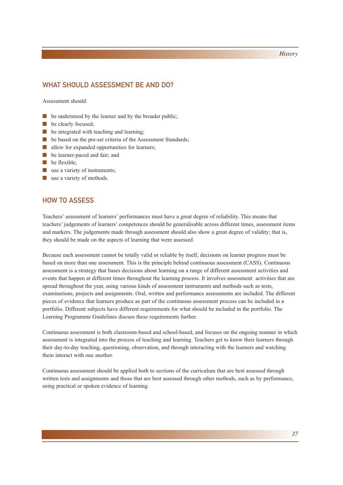## WHAT SHOULD ASSESSMENT BE AND DO?

Assessment should:

- be understood by the learner and by the broader public;
- be clearly focused;
- be integrated with teaching and learning;
- be based on the pre-set criteria of the Assessment Standards;
- allow for expanded opportunities for learners;
- be learner-paced and fair; and
- be flexible;
- use a variety of instruments;
- use a variety of methods.

## HOW TO ASSESS

Teachers' assessment of learners' performances must have a great degree of reliability. This means that teachers' judgements of learners' competences should be generalisable across different times, assessment items and markers. The judgements made through assessment should also show a great degree of validity; that is, they should be made on the aspects of learning that were assessed.

Because each assessment cannot be totally valid or reliable by itself, decisions on learner progress must be based on more than one assessment. This is the principle behind continuous assessment (CASS). Continuous assessment is a strategy that bases decisions about learning on a range of different assessment activities and events that happen at different times throughout the learning process. It involves assessment activities that are spread throughout the year, using various kinds of assessment instruments and methods such as tests, examinations, projects and assignments. Oral, written and performance assessments are included. The different pieces of evidence that learners produce as part of the continuous assessment process can be included in a portfolio. Different subjects have different requirements for what should be included in the portfolio. The Learning Programme Guidelines discuss these requirements further.

Continuous assessment is both classroom-based and school-based, and focuses on the ongoing manner in which assessment is integrated into the process of teaching and learning. Teachers get to know their learners through their day-to-day teaching, questioning, observation, and through interacting with the learners and watching them interact with one another.

Continuous assessment should be applied both to sections of the curriculum that are best assessed through written tests and assignments and those that are best assessed through other methods, such as by performance, using practical or spoken evidence of learning.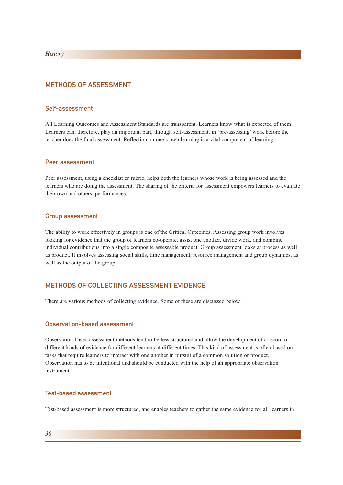## METHODS OF ASSESSMENT

## Self-assessment

All Learning Outcomes and Assessment Standards are transparent. Learners know what is expected of them. Learners can, therefore, play an important part, through self-assessment, in 'pre-assessing' work before the teacher does the final assessment. Reflection on one's own learning is a vital component of learning.

## Peer assessment

Peer assessment, using a checklist or rubric, helps both the learners whose work is being assessed and the learners who are doing the assessment. The sharing of the criteria for assessment empowers learners to evaluate their own and others' performances.

### Group assessment

The ability to work effectively in groups is one of the Critical Outcomes. Assessing group work involves looking for evidence that the group of learners co-operate, assist one another, divide work, and combine individual contributions into a single composite assessable product. Group assessment looks at process as well as product. It involves assessing social skills, time management, resource management and group dynamics, as well as the output of the group.

## METHODS OF COLLECTING ASSESSMENT EVIDENCE

There are various methods of collecting evidence. Some of these are discussed below.

## Observation-based assessment

Observation-based assessment methods tend to be less structured and allow the development of a record of different kinds of evidence for different learners at different times. This kind of assessment is often based on tasks that require learners to interact with one another in pursuit of a common solution or product. Observation has to be intentional and should be conducted with the help of an appropriate observation instrument.

## Test-based assessment

Test-based assessment is more structured, and enables teachers to gather the same evidence for all learners in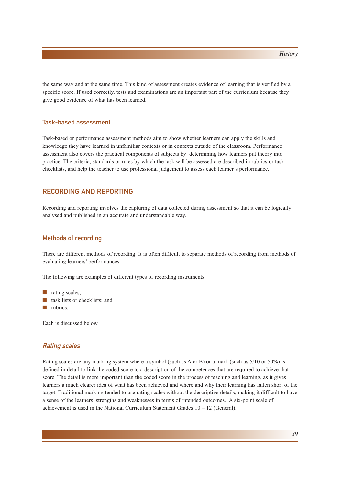the same way and at the same time. This kind of assessment creates evidence of learning that is verified by a specific score. If used correctly, tests and examinations are an important part of the curriculum because they give good evidence of what has been learned.

## Task-based assessment

Task-based or performance assessment methods aim to show whether learners can apply the skills and knowledge they have learned in unfamiliar contexts or in contexts outside of the classroom. Performance assessment also covers the practical components of subjects by determining how learners put theory into practice. The criteria, standards or rules by which the task will be assessed are described in rubrics or task checklists, and help the teacher to use professional judgement to assess each learner's performance.

## RECORDING AND REPORTING

Recording and reporting involves the capturing of data collected during assessment so that it can be logically analysed and published in an accurate and understandable way.

### Methods of recording

There are different methods of recording. It is often difficult to separate methods of recording from methods of evaluating learners' performances.

The following are examples of different types of recording instruments:

- rating scales;
- task lists or checklists; and
- rubrics

Each is discussed below.

## Rating scales

Rating scales are any marking system where a symbol (such as A or B) or a mark (such as 5/10 or 50%) is defined in detail to link the coded score to a description of the competences that are required to achieve that score. The detail is more important than the coded score in the process of teaching and learning, as it gives learners a much clearer idea of what has been achieved and where and why their learning has fallen short of the target. Traditional marking tended to use rating scales without the descriptive details, making it difficult to have a sense of the learners' strengths and weaknesses in terms of intended outcomes. A six-point scale of achievement is used in the National Curriculum Statement Grades  $10 - 12$  (General).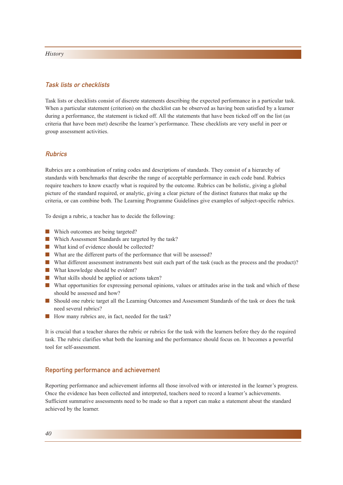## Task lists or checklists

Task lists or checklists consist of discrete statements describing the expected performance in a particular task. When a particular statement (criterion) on the checklist can be observed as having been satisfied by a learner during a performance, the statement is ticked off. All the statements that have been ticked off on the list (as criteria that have been met) describe the learner's performance. These checklists are very useful in peer or group assessment activities.

## **Rubrics**

Rubrics are a combination of rating codes and descriptions of standards. They consist of a hierarchy of standards with benchmarks that describe the range of acceptable performance in each code band. Rubrics require teachers to know exactly what is required by the outcome. Rubrics can be holistic, giving a global picture of the standard required, or analytic, giving a clear picture of the distinct features that make up the criteria, or can combine both. The Learning Programme Guidelines give examples of subject-specific rubrics.

To design a rubric, a teacher has to decide the following:

- Which outcomes are being targeted?
- Which Assessment Standards are targeted by the task?
- What kind of evidence should be collected?
- What are the different parts of the performance that will be assessed?
- What different assessment instruments best suit each part of the task (such as the process and the product)?
- What knowledge should be evident?
- What skills should be applied or actions taken?
- What opportunities for expressing personal opinions, values or attitudes arise in the task and which of these should be assessed and how?
- Should one rubric target all the Learning Outcomes and Assessment Standards of the task or does the task need several rubrics?
- How many rubrics are, in fact, needed for the task?

It is crucial that a teacher shares the rubric or rubrics for the task with the learners before they do the required task. The rubric clarifies what both the learning and the performance should focus on. It becomes a powerful tool for self-assessment.

### Reporting performance and achievement

Reporting performance and achievement informs all those involved with or interested in the learner's progress. Once the evidence has been collected and interpreted, teachers need to record a learner's achievements. Sufficient summative assessments need to be made so that a report can make a statement about the standard achieved by the learner.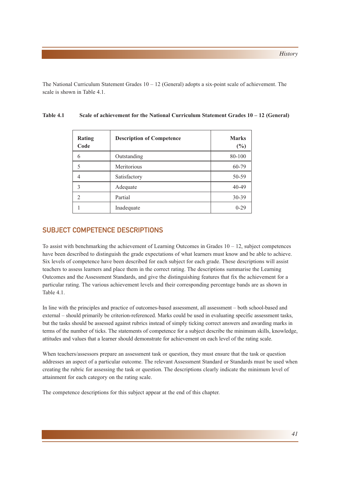The National Curriculum Statement Grades  $10 - 12$  (General) adopts a six-point scale of achievement. The scale is shown in Table 4.1.

| Rating<br>Code           | <b>Description of Competence</b> | <b>Marks</b><br>$(\%)$ |
|--------------------------|----------------------------------|------------------------|
| 6                        | Outstanding                      | 80-100                 |
| 5                        | Meritorious                      | 60-79                  |
| 4                        | Satisfactory                     | 50-59                  |
| 3                        | Adequate                         | $40 - 49$              |
| $\mathfrak{D}_{1}^{(1)}$ | Partial                          | 30-39                  |
|                          | Inadequate                       | $0 - 29$               |

## Table 4.1 Scale of achievement for the National Curriculum Statement Grades  $10 - 12$  (General)

## SUBJECT COMPETENCE DESCRIPTIONS

To assist with benchmarking the achievement of Learning Outcomes in Grades  $10 - 12$ , subject competences have been described to distinguish the grade expectations of what learners must know and be able to achieve. Six levels of competence have been described for each subject for each grade. These descriptions will assist teachers to assess learners and place them in the correct rating. The descriptions summarise the Learning Outcomes and the Assessment Standards, and give the distinguishing features that fix the achievement for a particular rating. The various achievement levels and their corresponding percentage bands are as shown in Table 4.1.

In line with the principles and practice of outcomes-based assessment, all assessment – both school-based and external – should primarily be criterion-referenced. Marks could be used in evaluating specific assessment tasks, but the tasks should be assessed against rubrics instead of simply ticking correct answers and awarding marks in terms of the number of ticks. The statements of competence for a subject describe the minimum skills, knowledge, attitudes and values that a learner should demonstrate for achievement on each level of the rating scale.

When teachers/assessors prepare an assessment task or question, they must ensure that the task or question addresses an aspect of a particular outcome. The relevant Assessment Standard or Standards must be used when creating the rubric for assessing the task or question. The descriptions clearly indicate the minimum level of attainment for each category on the rating scale.

The competence descriptions for this subject appear at the end of this chapter.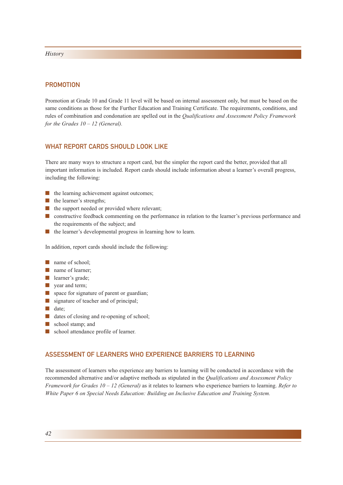## **PROMOTION**

Promotion at Grade 10 and Grade 11 level will be based on internal assessment only, but must be based on the same conditions as those for the Further Education and Training Certificate. The requirements, conditions, and rules of combination and condonation are spelled out in the *Qualifications and Assessment Policy Framework for the Grades 10 – 12 (General).*

## WHAT REPORT CARDS SHOULD LOOK LIKE

There are many ways to structure a report card, but the simpler the report card the better, provided that all important information is included. Report cards should include information about a learner's overall progress, including the following:

- the learning achievement against outcomes:
- the learner's strengths:
- the support needed or provided where relevant;
- constructive feedback commenting on the performance in relation to the learner's previous performance and the requirements of the subject; and
- the learner's developmental progress in learning how to learn.

In addition, report cards should include the following:

- name of school:
- name of learner:
- learner's grade;
- year and term;
- space for signature of parent or guardian;
- signature of teacher and of principal;
- date:
- dates of closing and re-opening of school;
- school stamp; and
- school attendance profile of learner.

## ASSESSMENT OF LEARNERS WHO EXPERIENCE BARRIERS TO LEARNING

The assessment of learners who experience any barriers to learning will be conducted in accordance with the recommended alternative and/or adaptive methods as stipulated in the *Qualifications and Assessment Policy Framework for Grades 10 – 12 (General)* as it relates to learners who experience barriers to learning. *Refer to White Paper 6 on Special Needs Education: Building an Inclusive Education and Training System.*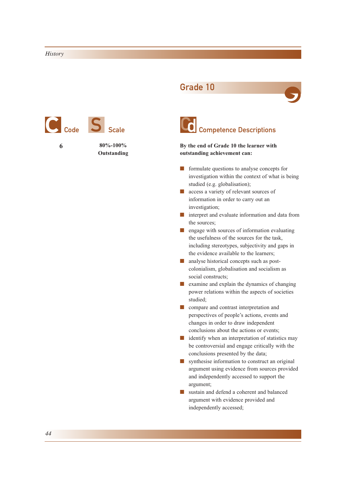

Grade 10





## C Competence Descriptions

**By the end of Grade 10 the learner with outstanding achievement can:**

- formulate questions to analyse concepts for investigation within the context of what is being studied (e.g. globalisation);
- access a variety of relevant sources of information in order to carry out an investigation;
- interpret and evaluate information and data from the sources;
- engage with sources of information evaluating the usefulness of the sources for the task, including stereotypes, subjectivity and gaps in the evidence available to the learners;
- analyse historical concepts such as postcolonialism, globalisation and socialism as social constructs;
- examine and explain the dynamics of changing power relations within the aspects of societies studied;
- compare and contrast interpretation and perspectives of people's actions, events and changes in order to draw independent conclusions about the actions or events;
- identify when an interpretation of statistics may be controversial and engage critically with the conclusions presented by the data;
- synthesise information to construct an original argument using evidence from sources provided and independently accessed to support the argument;
- sustain and defend a coherent and balanced argument with evidence provided and independently accessed;

*44*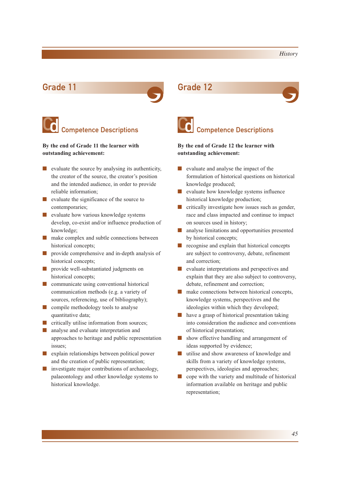

## C Competence Descriptions

**By the end of Grade 11 the learner with outstanding achievement:**

- evaluate the source by analysing its authenticity, the creator of the source, the creator's position and the intended audience, in order to provide reliable information;
- evaluate the significance of the source to contemporaries;
- evaluate how various knowledge systems develop, co-exist and/or influence production of knowledge;
- make complex and subtle connections between historical concepts;
- provide comprehensive and in-depth analysis of historical concepts;
- provide well-substantiated judgments on historical concepts;
- communicate using conventional historical communication methods (e.g. a variety of sources, referencing, use of bibliography);
- compile methodology tools to analyse quantitative data;
- critically utilise information from sources;
- analyse and evaluate interpretation and approaches to heritage and public representation issues;
- explain relationships between political power and the creation of public representation;
- investigate major contributions of archaeology, palaeontology and other knowledge systems to historical knowledge.





## **C** Competence Descriptions

**By the end of Grade 12 the learner with outstanding achievement:**

- evaluate and analyse the impact of the formulation of historical questions on historical knowledge produced;
- evaluate how knowledge systems influence historical knowledge production;
- $\blacksquare$  critically investigate how issues such as gender, race and class impacted and continue to impact on sources used in history;
- analyse limitations and opportunities presented by historical concepts;
- recognise and explain that historical concepts are subject to controversy, debate, refinement and correction;
- evaluate interpretations and perspectives and explain that they are also subject to controversy, debate, refinement and correction;
- make connections between historical concepts, knowledge systems, perspectives and the ideologies within which they developed;
- have a grasp of historical presentation taking into consideration the audience and conventions of historical presentation;
- show effective handling and arrangement of ideas supported by evidence;
- utilise and show awareness of knowledge and skills from a variety of knowledge systems, perspectives, ideologies and approaches;
- cope with the variety and multitude of historical information available on heritage and public representation;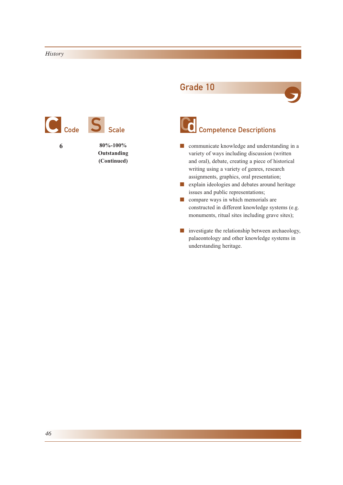

**Outstanding (Continued)**

## Grade 10



# Competence Descriptions

- communicate knowledge and understanding in a variety of ways including discussion (written and oral), debate, creating a piece of historical writing using a variety of genres, research assignments, graphics, oral presentation;
- explain ideologies and debates around heritage issues and public representations;
- compare ways in which memorials are constructed in different knowledge systems (e.g. monuments, ritual sites including grave sites);
- investigate the relationship between archaeology, palaeontology and other knowledge systems in understanding heritage.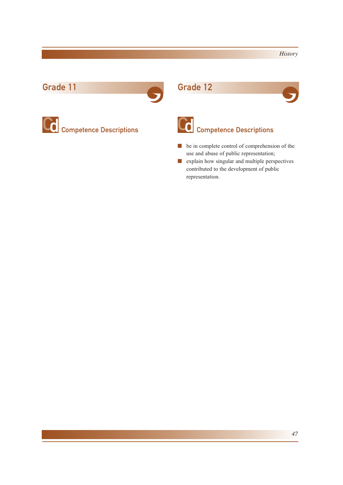## Grade 11 Grade 12



**Competence Descriptions** 





# Competence Descriptions

- be in complete control of comprehension of the use and abuse of public representation;
- explain how singular and multiple perspectives contributed to the development of public representation.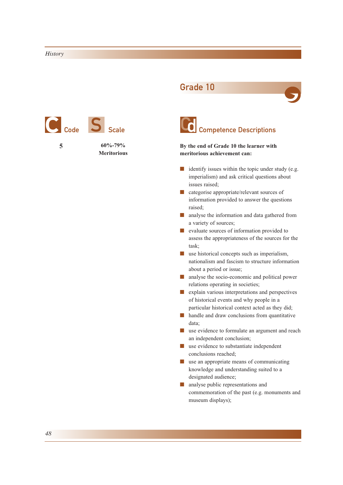

Grade 10





**By the end of Grade 10 the learner with meritorious achievement can:**

- identify issues within the topic under study (e.g. imperialism) and ask critical questions about issues raised;
- categorise appropriate/relevant sources of information provided to answer the questions raised;
- analyse the information and data gathered from a variety of sources;
- evaluate sources of information provided to assess the appropriateness of the sources for the task;
- use historical concepts such as imperialism, nationalism and fascism to structure information about a period or issue;
- analyse the socio-economic and political power relations operating in societies;
- explain various interpretations and perspectives of historical events and why people in a particular historical context acted as they did;
- handle and draw conclusions from quantitative data;
- use evidence to formulate an argument and reach an independent conclusion;
- use evidence to substantiate independent conclusions reached;
- use an appropriate means of communicating knowledge and understanding suited to a designated audience;
- analyse public representations and commemoration of the past (e.g. monuments and museum displays);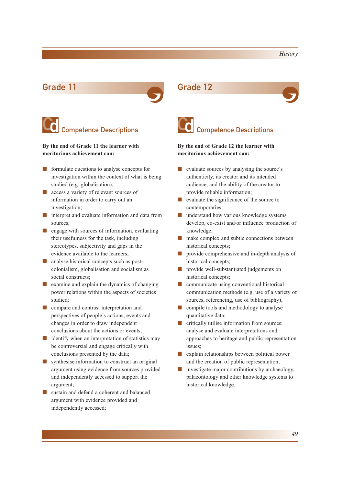

## **Competence Descriptions**

**By the end of Grade 11 the learner with meritorious achievement can:**

- formulate questions to analyse concepts for investigation within the context of what is being studied (e.g. globalisation);
- access a variety of relevant sources of information in order to carry out an investigation;
- interpret and evaluate information and data from sources;
- engage with sources of information, evaluating their usefulness for the task, including stereotypes, subjectivity and gaps in the evidence available to the learners;
- analyse historical concepts such as postcolonialism, globalisation and socialism as social constructs;
- examine and explain the dynamics of changing power relations within the aspects of societies studied;
- compare and contrast interpretation and perspectives of people's actions, events and changes in order to draw independent conclusions about the actions or events;
- identify when an interpretation of statistics may be controversial and engage critically with conclusions presented by the data;
- synthesise information to *c*onstruct an original argument using evidence from sources provided and independently accessed to support the argument;
- sustain and defend a coherent and balanced argument with evidence provided and independently accessed;





## **C** Competence Descriptions

**By the end of Grade 12 the learner with meritorious achievement can:**

- evaluate sources by analysing the source's authenticity, its creator and its intended audience, and the ability of the creator to provide reliable information;
- evaluate the significance of the source to contemporaries;
- understand how various knowledge systems develop, co-exist and/or influence production of knowledge;
- make complex and subtle connections between historical concepts;
- provide comprehensive and in-depth analysis of historical concepts;
- provide well-substantiated judgements on historical concepts;
- communicate using conventional historical communication methods (e.g. use of a variety of sources, referencing, use of bibliography);
- compile tools and methodology to analyse quantitative data;
- critically utilise information from sources; analyse and evaluate interpretations and approaches to heritage and public representation issues;
- explain relationships between political power and the creation of public representation;
- investigate major contributions by archaeology, palaeontology and other knowledge systems to historical knowledge.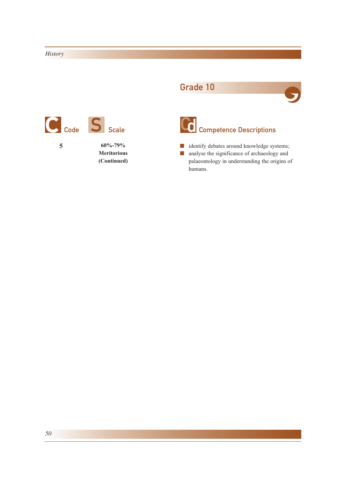# **5 60%-79%** Code S Scale

**Meritorious (Continued)**

## Grade 10





# Col <sub>Competence</sub> Descriptions

■ identify debates around knowledge systems; ■ analyse the significance of archaeology and palaeontology in understanding the origins of humans.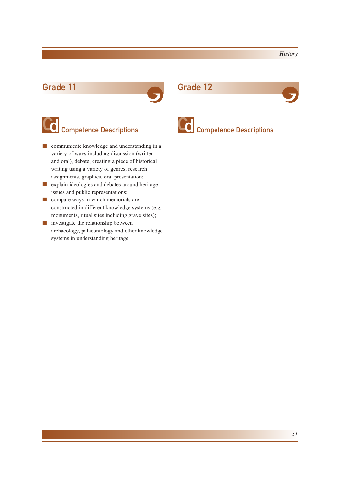## Grade 11 Grade 12



# Competence Descriptions

- communicate knowledge and understanding in a variety of ways including discussion (written and oral), debate, creating a piece of historical writing using a variety of genres, research assignments, graphics, oral presentation;
- explain ideologies and debates around heritage issues and public representations;
- compare ways in which memorials are constructed in different knowledge systems (e.g. monuments, ritual sites including grave sites);
- investigate the relationship between archaeology, palaeontology and other knowledge systems in understanding heritage.



# Competence Descriptions Competence Descriptions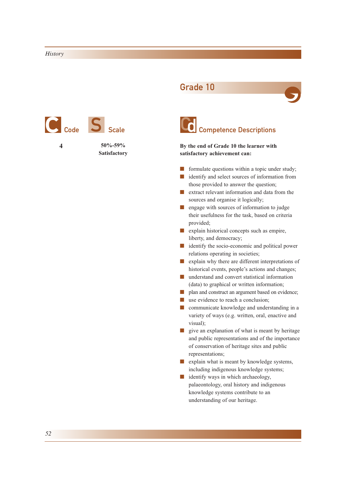

Grade 10



**By the end of Grade 10 the learner with satisfactory achievement can:**

- formulate questions within a topic under study;
- identify and select sources of information from those provided to answer the question;
- extract relevant information and data from the sources and organise it logically;
- engage with sources of information to judge their usefulness for the task, based on criteria provided;
- explain historical concepts such as empire, liberty, and democracy;
- identify the socio-economic and political power relations operating in societies;
- explain why there are different interpretations of historical events, people's actions and changes;
- understand and convert statistical information (data) to graphical or written information;
- plan and construct an argument based on evidence;
- use evidence to reach a conclusion;
- communicate knowledge and understanding in a variety of ways (e.g. written, oral, enactive and visual);
- give an explanation of what is meant by heritage and public representations and of the importance of conservation of heritage sites and public representations;
- explain what is meant by knowledge systems, including indigenous knowledge systems;
- identify ways in which archaeology, palaeontology, oral history and indigenous knowledge systems contribute to an understanding of our heritage.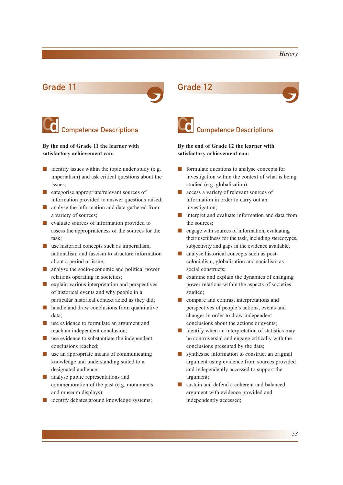

## C Competence Descriptions

**By the end of Grade 11 the learner with satisfactory achievement can:**

- $\blacksquare$  identify issues within the topic under study (e.g. imperialism) and ask critical questions about the issues;
- categorise appropriate/relevant sources of information provided to answer questions raised;
- analyse the information and data gathered from a variety of sources;
- evaluate sources of information provided to assess the appropriateness of the sources for the task;
- use historical concepts such as imperialism, nationalism and fascism to structure information about a period or issue;
- analyse the socio-economic and political power relations operating in societies;
- explain various interpretation and perspectives of historical events and why people in a particular historical context acted as they did;
- handle and draw conclusions from quantitative data;
- use evidence to formulate an argument and reach an independent conclusion;
- use evidence to substantiate the independent conclusions reached;
- use an appropriate means of communicating knowledge and understanding suited to a designated audience;
- analyse public representations and commemoration of the past (e.g. monuments and museum displays);
- identify debates around knowledge systems;





## **C** Competence Descriptions

**By the end of Grade 12 the learner with satisfactory achievement can:**

- formulate questions to analyse concepts for investigation within the context of what is being studied (e.g. globalisation);
- access a variety of relevant sources of information in order to carry out an investigation;
- interpret and evaluate information and data from the sources;
- engage with sources of information, evaluating their usefulness for the task, including stereotypes, subjectivity and gaps in the evidence available;
- analyse historical concepts such as postcolonialism, globalisation and socialism as social constructs;
- examine and explain the dynamics of changing power relations within the aspects of societies studied;
- compare and contrast interpretations and perspectives of people's actions, events and changes in order to draw independent conclusions about the actions or events;
- identify when an interpretation of statistics may be controversial and engage critically with the conclusions presented by the data;
- synthesise information to *c*onstruct an original argument using evidence from sources provided and independently accessed to support the argument;
- sustain and defend a coherent and balanced argument with evidence provided and independently accessed;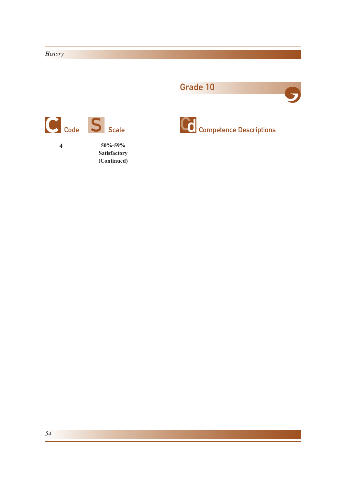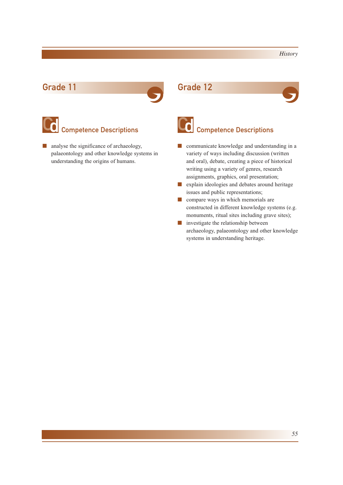

# C Competence Descriptions

■ analyse the significance of archaeology, palaeontology and other knowledge systems in understanding the origins of humans.





# Competence Descriptions Competence Descriptions

- communicate knowledge and understanding in a variety of ways including discussion (written and oral), debate, creating a piece of historical writing using a variety of genres, research assignments, graphics, oral presentation;
- explain ideologies and debates around heritage issues and public representations;
- compare ways in which memorials are constructed in different knowledge systems (e.g. monuments, ritual sites including grave sites);
- investigate the relationship between archaeology, palaeontology and other knowledge systems in understanding heritage.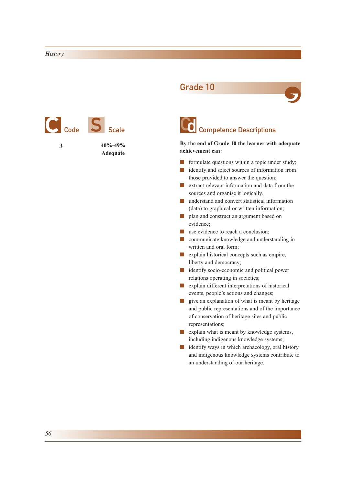

## Grade 10





## **By the end of Grade 10 the learner with adequate achievement can:**

- formulate questions within a topic under study;
- identify and select sources of information from those provided to answer the question;
- extract relevant information and data from the sources and organise it logically.
- understand and convert statistical information (data) to graphical or written information;
- plan and construct an argument based on evidence;
- use evidence to reach a conclusion;
- communicate knowledge and understanding in written and oral form;
- explain historical concepts such as empire, liberty and democracy;
- identify socio-economic and political power relations operating in societies;
- explain different interpretations of historical events, people's actions and changes;
- give an explanation of what is meant by heritage and public representations and of the importance of conservation of heritage sites and public representations;
- explain what is meant by knowledge systems, including indigenous knowledge systems;
- identify ways in which archaeology, oral history and indigenous knowledge systems contribute to an understanding of our heritage.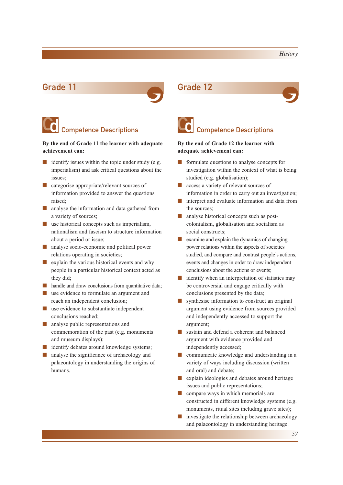

# Competence Descriptions<br>
Competence Descriptions

## **By the end of Grade 11 the learner with adequate achievement can:**

- $\blacksquare$  identify issues within the topic under study (e.g. imperialism) and ask critical questions about the issues;
- categorise appropriate/relevant sources of information provided to answer the questions raised;
- analyse the information and data gathered from a variety of sources;
- use historical concepts such as imperialism, nationalism and fascism to structure information about a period or issue;
- analyse socio-economic and political power relations operating in societies;
- explain the various historical events and why people in a particular historical context acted as they did;
- handle and draw conclusions from quantitative data;
- use evidence to formulate an argument and reach an independent conclusion;
- use evidence to substantiate independent conclusions reached;
- analyse public representations and commemoration of the past (e.g. monuments and museum displays);
- identify debates around knowledge systems;
- analyse the significance of archaeology and palaeontology in understanding the origins of humans.





## **By the end of Grade 12 the learner with adequate achievement can:**

- formulate questions to analyse concepts for investigation within the context of what is being studied (e.g. globalisation);
- access a variety of relevant sources of information in order to carry out an investigation;
- interpret and evaluate information and data from the sources;
- analyse historical concepts such as postcolonialism, globalisation and socialism as social constructs;
- examine and explain the dynamics of changing power relations within the aspects of societies studied, and compare and contrast people's actions, events and changes in order to draw independent conclusions about the actions or events;
- identify when an interpretation of statistics may be controversial and engage critically with conclusions presented by the data;
- synthesise information to *c*onstruct an original argument using evidence from sources provided and independently accessed to support the argument;
- sustain and defend a coherent and balanced argument with evidence provided and independently accessed;
- communicate knowledge and understanding in a variety of ways including discussion (written and oral) and debate;
- explain ideologies and debates around heritage issues and public representations;
- compare ways in which memorials are constructed in different knowledge systems (e.g. monuments, ritual sites including grave sites);
- investigate the relationship between archaeology and palaeontology in understanding heritage.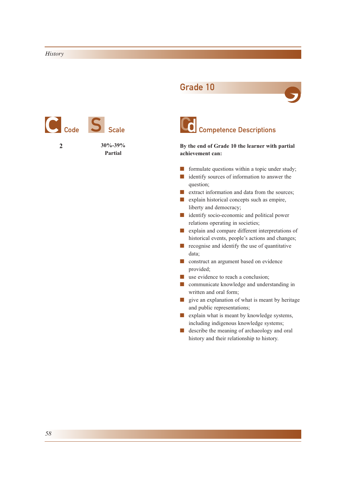







**By the end of Grade 10 the learner with partial achievement can:**

- formulate questions within a topic under study;
- identify sources of information to answer the question;
- extract information and data from the sources;
- explain historical concepts such as empire, liberty and democracy;
- identify socio-economic and political power relations operating in societies;
- explain and compare different interpretations of historical events, people's actions and changes;
- recognise and identify the use of quantitative data;
- construct an argument based on evidence provided;
- use evidence to reach a conclusion:
- communicate knowledge and understanding in written and oral form;
- give an explanation of what is meant by heritage and public representations;
- explain what is meant by knowledge systems, including indigenous knowledge systems;
- describe the meaning of archaeology and oral history and their relationship to history.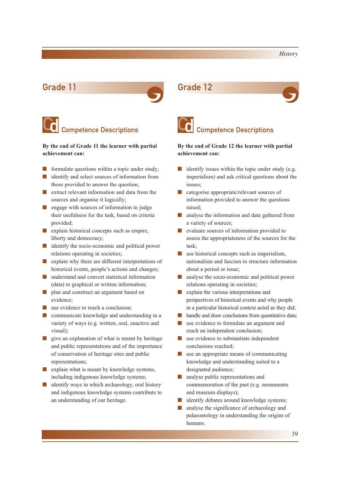

## C Competence Descriptions

## **By the end of Grade 11 the learner with partial achievement can:**

- formulate questions within a topic under study;
- identify and select sources of information from those provided to answer the question;
- extract relevant information and data from the sources and organise it logically;
- engage with sources of information to judge their usefulness for the task, based on criteria provided;
- explain historical concepts such as empire, liberty and democracy;
- identify the socio-economic and political power relations operating in societies;
- explain why there are different interpretations of historical events, people's actions and changes;
- understand and convert statistical information (data) to graphical or written information;
- plan and construct an argument based on evidence;
- use evidence to reach a conclusion;
- communicate knowledge and understanding in a variety of ways (e.g. written, oral, enactive and visual);
- give an explanation of what is meant by heritage and public representations and of the importance of conservation of heritage sites and public representations;
- explain what is meant by knowledge systems, including indigenous knowledge systems;
- identify ways in which archaeology, oral history and indigenous knowledge systems contribute to an understanding of our heritage.





## **C** Competence Descriptions

## **By the end of Grade 12 the learner with partial achievement can:**

- $\blacksquare$  identify issues within the topic under study (e.g. imperialism) and ask critical questions about the issues;
- categorise appropriate/relevant sources of information provided to answer the questions raised;
- analyse the information and data gathered from a variety of sources;
- evaluate sources of information provided to assess the appropriateness of the sources for the task;
- use historical concepts such as imperialism, nationalism and fascism to structure information about a period or issue;
- analyse the socio-economic and political power relations operating in societies;
- explain the various interpretations and perspectives of historical events and why people in a particular historical context acted as they did;
- handle and draw conclusions from quantitative data;
- use evidence to formulate an argument and reach an independent conclusion;
- use evidence to substantiate independent conclusions reached;
- use an appropriate means of communicating knowledge and understanding suited to a designated audience;
- analyse public representations and commemoration of the past (e.g. monuments and museum displays);
- identify debates around knowledge systems;
- analyse the significance of archaeology and palaeontology in understanding the origins of humans.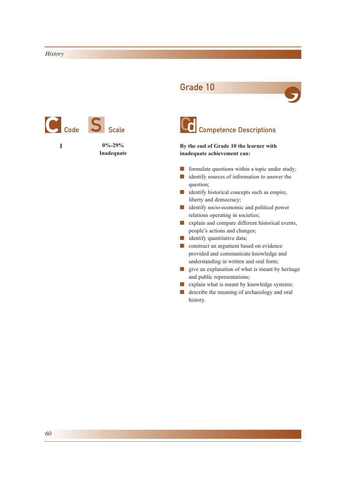

## Grade 10





**By the end of Grade 10 the learner with inadequate achievement can:**

- formulate questions within a topic under study;
- identify sources of information to answer the question;
- identify historical concepts such as empire, liberty and democracy;
- identify socio-economic and political power relations operating in societies;
- explain and compare different historical events, people's actions and changes;
- identify quantitative data;
- construct an argument based on evidence provided and communicate knowledge and understanding in written and oral form;
- give an explanation of what is meant by heritage and public representations;
- explain what is meant by knowledge systems;
- describe the meaning of archaeology and oral history.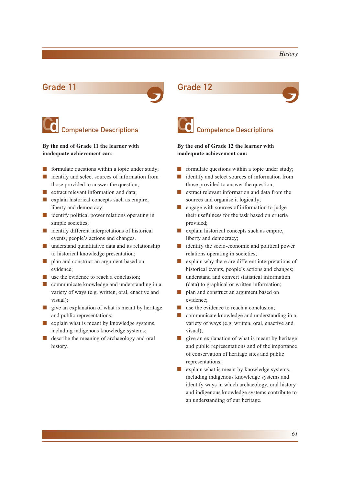

## **Competence Descriptions**

**By the end of Grade 11 the learner with inadequate achievement can:**

- formulate questions within a topic under study;
- identify and select sources of information from those provided to answer the question;
- extract relevant information and data;
- explain historical concepts such as empire, liberty and democracy;
- identify political power relations operating in simple societies;
- identify different interpretations of historical events, people's actions and changes.
- understand quantitative data and its relationship to historical knowledge presentation;
- plan and construct an argument based on evidence;
- use the evidence to reach a conclusion:
- communicate knowledge and understanding in a variety of ways (e.g. written, oral, enactive and visual);
- give an explanation of what is meant by heritage and public representations;
- explain what is meant by knowledge systems, including indigenous knowledge systems;
- describe the meaning of archaeology and oral history.





## **C** Competence Descriptions

## **By the end of Grade 12 the learner with inadequate achievement can:**

- formulate questions within a topic under study;
- identify and select sources of information from those provided to answer the question;
- extract relevant information and data from the sources and organise it logically;
- engage with sources of information to judge their usefulness for the task based on criteria provided;
- explain historical concepts such as empire, liberty and democracy;
- identify the socio-economic and political power relations operating in societies;
- explain why there are different interpretations of historical events, people's actions and changes;
- understand and convert statistical information (data) to graphical or written information;
- plan and construct an argument based on evidence;
- use the evidence to reach a conclusion;
- communicate knowledge and understanding in a variety of ways (e.g. written, oral, enactive and visual);
- give an explanation of what is meant by heritage and public representations and of the importance of conservation of heritage sites and public representations;
- explain what is meant by knowledge systems, including indigenous knowledge systems and identify ways in which archaeology, oral history and indigenous knowledge systems contribute to an understanding of our heritage.